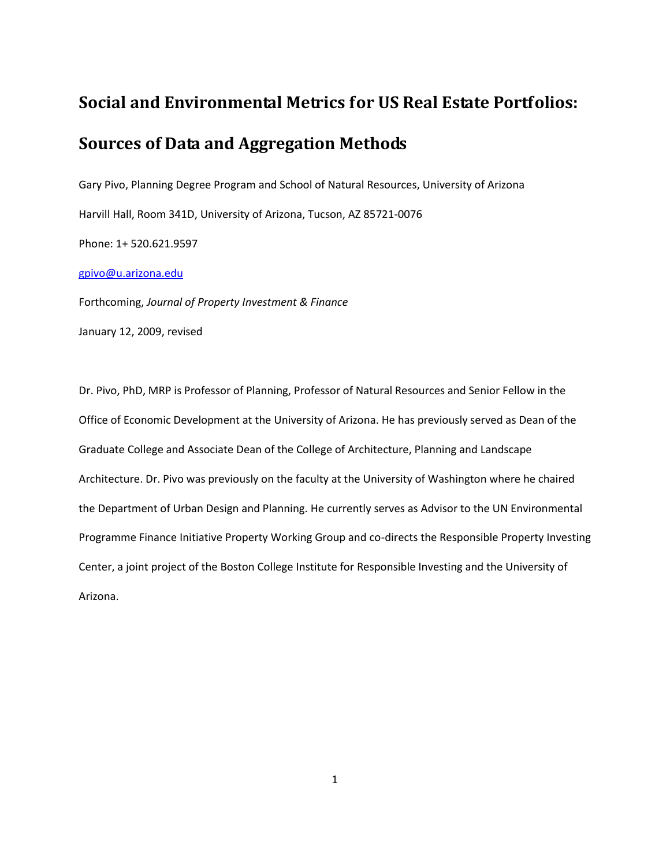# **Social and Environmental Metrics for US Real Estate Portfolios:**

# **Sources of Data and Aggregation Methods**

Gary Pivo, Planning Degree Program and School of Natural Resources, University of Arizona Harvill Hall, Room 341D, University of Arizona, Tucson, AZ 85721-0076 Phone: 1+ 520.621.9597

#### [gpivo@u.arizona.edu](mailto:gpivo@u.arizona.edu)

Forthcoming, *Journal of Property Investment & Finance*

January 12, 2009, revised

Dr. Pivo, PhD, MRP is Professor of Planning, Professor of Natural Resources and Senior Fellow in the Office of Economic Development at the University of Arizona. He has previously served as Dean of the Graduate College and Associate Dean of the College of Architecture, Planning and Landscape Architecture. Dr. Pivo was previously on the faculty at the University of Washington where he chaired the Department of Urban Design and Planning. He currently serves as Advisor to the UN Environmental Programme Finance Initiative Property Working Group and co-directs the Responsible Property Investing Center, a joint project of the Boston College Institute for Responsible Investing and the University of Arizona.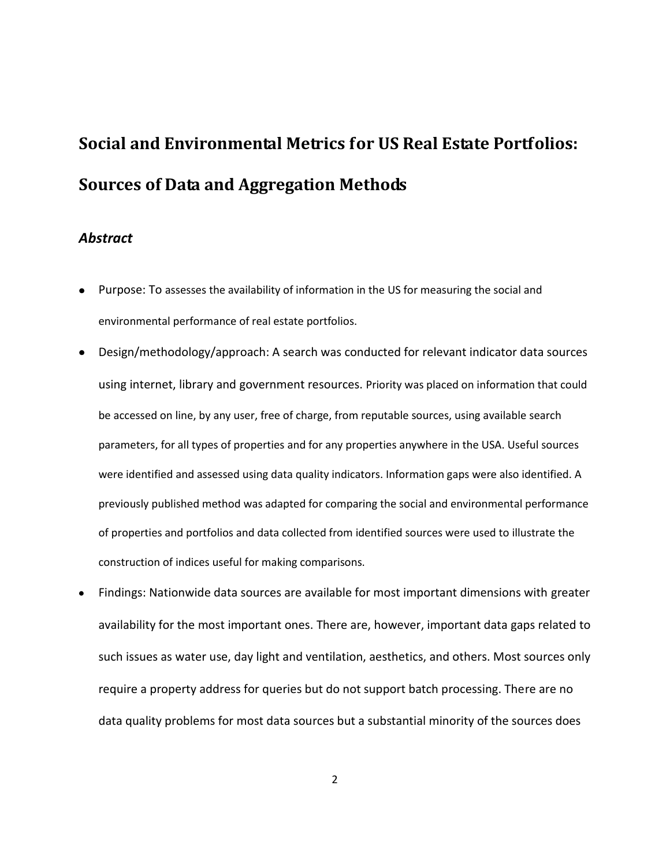# **Social and Environmental Metrics for US Real Estate Portfolios: Sources of Data and Aggregation Methods**

### *Abstract*

- Purpose: To assesses the availability of information in the US for measuring the social and environmental performance of real estate portfolios.
- Design/methodology/approach: A search was conducted for relevant indicator data sources using internet, library and government resources. Priority was placed on information that could be accessed on line, by any user, free of charge, from reputable sources, using available search parameters, for all types of properties and for any properties anywhere in the USA. Useful sources were identified and assessed using data quality indicators. Information gaps were also identified. A previously published method was adapted for comparing the social and environmental performance of properties and portfolios and data collected from identified sources were used to illustrate the construction of indices useful for making comparisons.
- Findings: Nationwide data sources are available for most important dimensions with greater availability for the most important ones. There are, however, important data gaps related to such issues as water use, day light and ventilation, aesthetics, and others. Most sources only require a property address for queries but do not support batch processing. There are no data quality problems for most data sources but a substantial minority of the sources does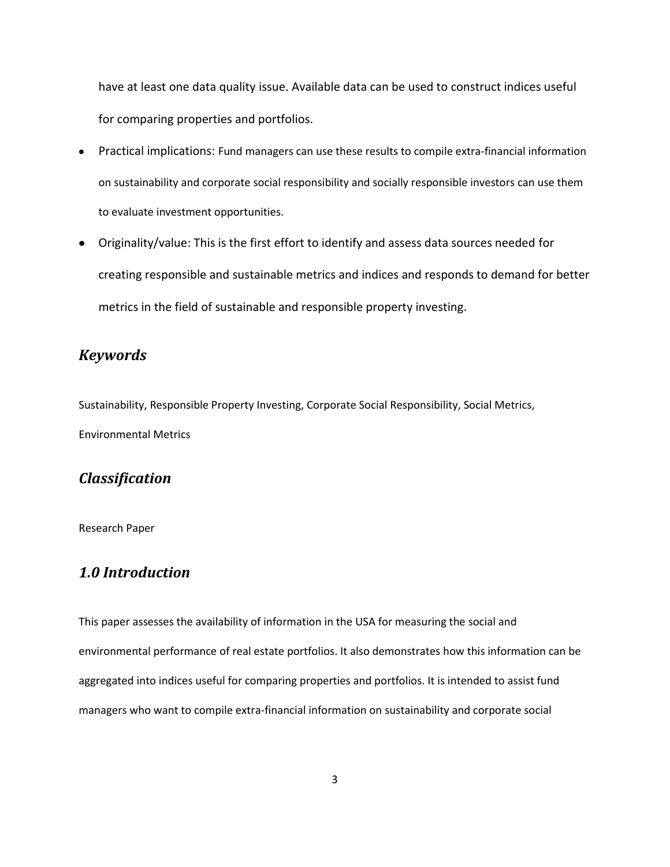have at least one data quality issue. Available data can be used to construct indices useful for comparing properties and portfolios.

- Practical implications: Fund managers can use these results to compile extra-financial information  $\bullet$ on sustainability and corporate social responsibility and socially responsible investors can use them to evaluate investment opportunities.
- Originality/value: This is the first effort to identify and assess data sources needed for creating responsible and sustainable metrics and indices and responds to demand for better metrics in the field of sustainable and responsible property investing.

### *Keywords*

Sustainability, Responsible Property Investing, Corporate Social Responsibility, Social Metrics, Environmental Metrics

# *Classification*

Research Paper

## *1.0 Introduction*

This paper assesses the availability of information in the USA for measuring the social and environmental performance of real estate portfolios. It also demonstrates how this information can be aggregated into indices useful for comparing properties and portfolios. It is intended to assist fund managers who want to compile extra-financial information on sustainability and corporate social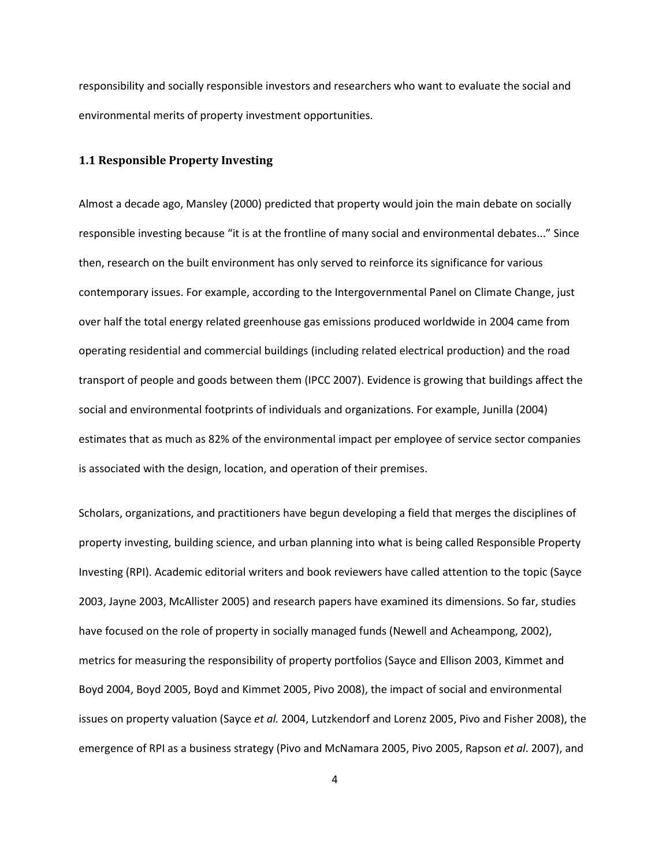responsibility and socially responsible investors and researchers who want to evaluate the social and environmental merits of property investment opportunities.

#### **1.1 Responsible Property Investing**

Almost a decade ago, Mansley (2000) predicted that property would join the main debate on socially responsible investing because "it is at the frontline of many social and environmental debates..." Since then, research on the built environment has only served to reinforce its significance for various contemporary issues. For example, according to the Intergovernmental Panel on Climate Change, just over half the total energy related greenhouse gas emissions produced worldwide in 2004 came from operating residential and commercial buildings (including related electrical production) and the road transport of people and goods between them (IPCC 2007). Evidence is growing that buildings affect the social and environmental footprints of individuals and organizations. For example, Junilla (2004) estimates that as much as 82% of the environmental impact per employee of service sector companies is associated with the design, location, and operation of their premises.

Scholars, organizations, and practitioners have begun developing a field that merges the disciplines of property investing, building science, and urban planning into what is being called Responsible Property Investing (RPI). Academic editorial writers and book reviewers have called attention to the topic (Sayce 2003, Jayne 2003, McAllister 2005) and research papers have examined its dimensions. So far, studies have focused on the role of property in socially managed funds (Newell and Acheampong, 2002), metrics for measuring the responsibility of property portfolios (Sayce and Ellison 2003, Kimmet and Boyd 2004, Boyd 2005, Boyd and Kimmet 2005, Pivo 2008), the impact of social and environmental issues on property valuation (Sayce *et al.* 2004, Lutzkendorf and Lorenz 2005, Pivo and Fisher 2008), the emergence of RPI as a business strategy (Pivo and McNamara 2005, Pivo 2005, Rapson *et al*. 2007), and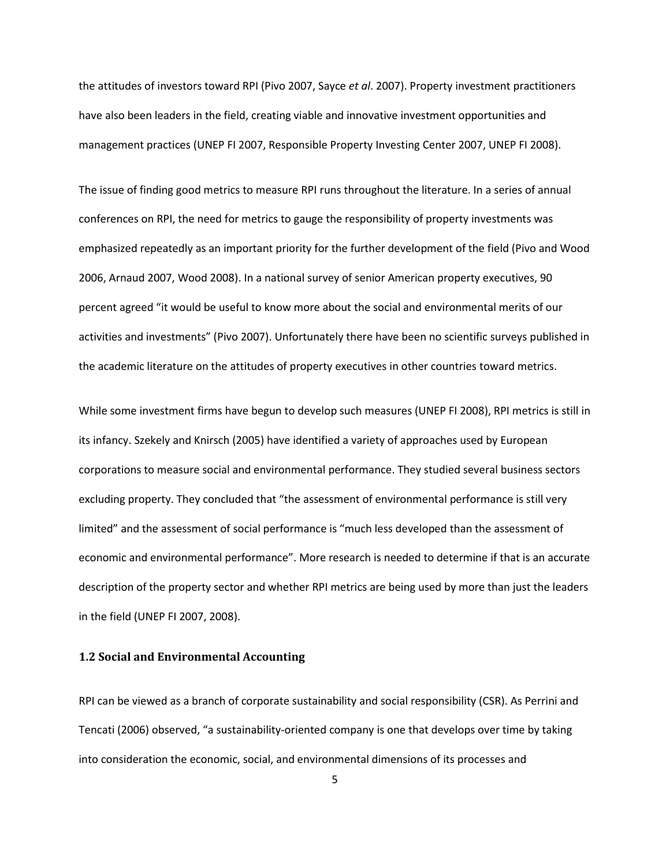the attitudes of investors toward RPI (Pivo 2007, Sayce *et al*. 2007). Property investment practitioners have also been leaders in the field, creating viable and innovative investment opportunities and management practices (UNEP FI 2007, Responsible Property Investing Center 2007, UNEP FI 2008).

The issue of finding good metrics to measure RPI runs throughout the literature. In a series of annual conferences on RPI, the need for metrics to gauge the responsibility of property investments was emphasized repeatedly as an important priority for the further development of the field (Pivo and Wood 2006, Arnaud 2007, Wood 2008). In a national survey of senior American property executives, 90 percent agreed "it would be useful to know more about the social and environmental merits of our activities and investments" (Pivo 2007). Unfortunately there have been no scientific surveys published in the academic literature on the attitudes of property executives in other countries toward metrics.

While some investment firms have begun to develop such measures (UNEP FI 2008), RPI metrics is still in its infancy. Szekely and Knirsch (2005) have identified a variety of approaches used by European corporations to measure social and environmental performance. They studied several business sectors excluding property. They concluded that "the assessment of environmental performance is still very limited" and the assessment of social performance is "much less developed than the assessment of economic and environmental performance". More research is needed to determine if that is an accurate description of the property sector and whether RPI metrics are being used by more than just the leaders in the field (UNEP FI 2007, 2008).

#### **1.2 Social and Environmental Accounting**

RPI can be viewed as a branch of corporate sustainability and social responsibility (CSR). As Perrini and Tencati (2006) observed, "a sustainability-oriented company is one that develops over time by taking into consideration the economic, social, and environmental dimensions of its processes and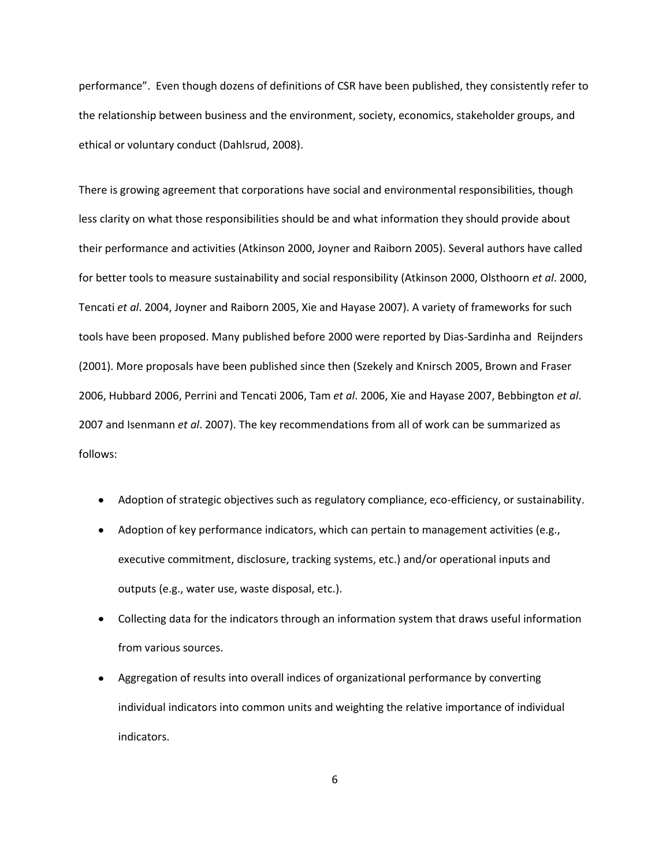performance". Even though dozens of definitions of CSR have been published, they consistently refer to the relationship between business and the environment, society, economics, stakeholder groups, and ethical or voluntary conduct (Dahlsrud, 2008).

There is growing agreement that corporations have social and environmental responsibilities, though less clarity on what those responsibilities should be and what information they should provide about their performance and activities (Atkinson 2000, Joyner and Raiborn 2005). Several authors have called for better tools to measure sustainability and social responsibility (Atkinson 2000, Olsthoorn *et al*. 2000, Tencati *et al*. 2004, Joyner and Raiborn 2005, Xie and Hayase 2007). A variety of frameworks for such tools have been proposed. Many published before 2000 were reported by Dias-Sardinha and Reijnders (2001). More proposals have been published since then (Szekely and Knirsch 2005, Brown and Fraser 2006, Hubbard 2006, Perrini and Tencati 2006, Tam *et al*. 2006, Xie and Hayase 2007, Bebbington *et al*. 2007 and Isenmann *et al*. 2007). The key recommendations from all of work can be summarized as follows:

- Adoption of strategic objectives such as regulatory compliance, eco-efficiency, or sustainability.
- Adoption of key performance indicators, which can pertain to management activities (e.g., executive commitment, disclosure, tracking systems, etc.) and/or operational inputs and outputs (e.g., water use, waste disposal, etc.).
- Collecting data for the indicators through an information system that draws useful information from various sources.
- Aggregation of results into overall indices of organizational performance by converting individual indicators into common units and weighting the relative importance of individual indicators.

6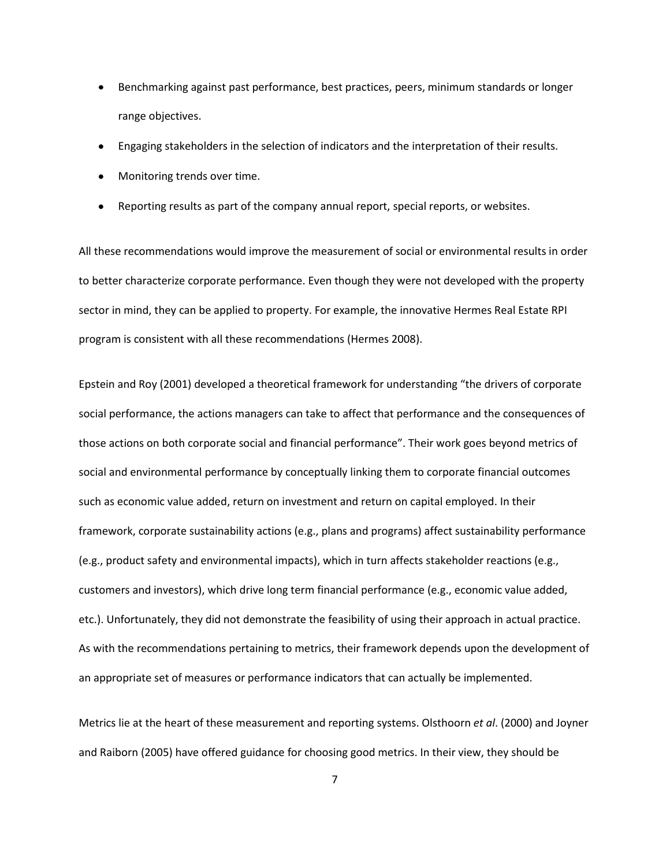- Benchmarking against past performance, best practices, peers, minimum standards or longer range objectives.
- Engaging stakeholders in the selection of indicators and the interpretation of their results.
- Monitoring trends over time.
- Reporting results as part of the company annual report, special reports, or websites.

All these recommendations would improve the measurement of social or environmental results in order to better characterize corporate performance. Even though they were not developed with the property sector in mind, they can be applied to property. For example, the innovative Hermes Real Estate RPI program is consistent with all these recommendations (Hermes 2008).

Epstein and Roy (2001) developed a theoretical framework for understanding "the drivers of corporate social performance, the actions managers can take to affect that performance and the consequences of those actions on both corporate social and financial performance". Their work goes beyond metrics of social and environmental performance by conceptually linking them to corporate financial outcomes such as economic value added, return on investment and return on capital employed. In their framework, corporate sustainability actions (e.g., plans and programs) affect sustainability performance (e.g., product safety and environmental impacts), which in turn affects stakeholder reactions (e.g., customers and investors), which drive long term financial performance (e.g., economic value added, etc.). Unfortunately, they did not demonstrate the feasibility of using their approach in actual practice. As with the recommendations pertaining to metrics, their framework depends upon the development of an appropriate set of measures or performance indicators that can actually be implemented.

Metrics lie at the heart of these measurement and reporting systems. Olsthoorn *et al*. (2000) and Joyner and Raiborn (2005) have offered guidance for choosing good metrics. In their view, they should be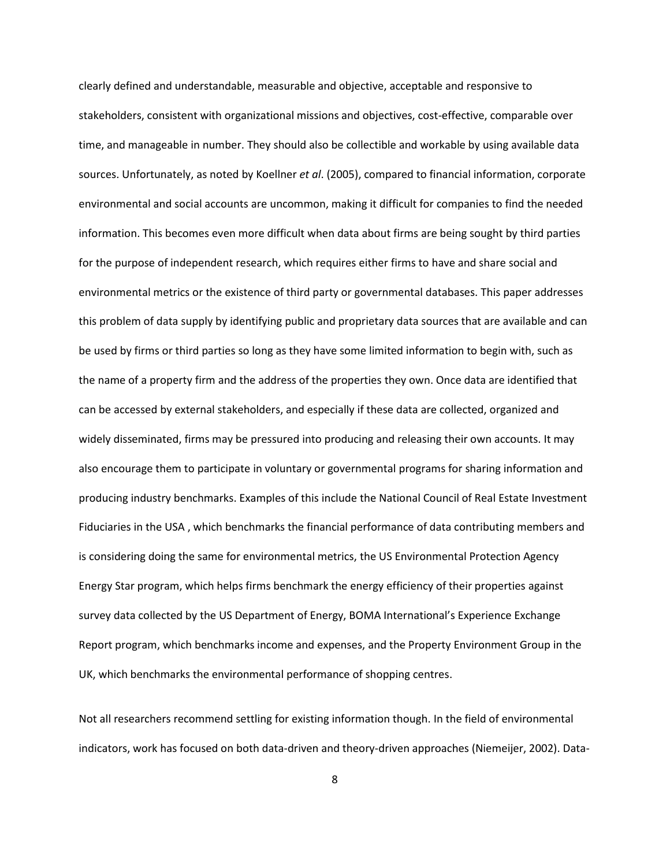clearly defined and understandable, measurable and objective, acceptable and responsive to stakeholders, consistent with organizational missions and objectives, cost-effective, comparable over time, and manageable in number. They should also be collectible and workable by using available data sources. Unfortunately, as noted by Koellner *et al*. (2005), compared to financial information, corporate environmental and social accounts are uncommon, making it difficult for companies to find the needed information. This becomes even more difficult when data about firms are being sought by third parties for the purpose of independent research, which requires either firms to have and share social and environmental metrics or the existence of third party or governmental databases. This paper addresses this problem of data supply by identifying public and proprietary data sources that are available and can be used by firms or third parties so long as they have some limited information to begin with, such as the name of a property firm and the address of the properties they own. Once data are identified that can be accessed by external stakeholders, and especially if these data are collected, organized and widely disseminated, firms may be pressured into producing and releasing their own accounts. It may also encourage them to participate in voluntary or governmental programs for sharing information and producing industry benchmarks. Examples of this include the National Council of Real Estate Investment Fiduciaries in the USA , which benchmarks the financial performance of data contributing members and is considering doing the same for environmental metrics, the US Environmental Protection Agency Energy Star program, which helps firms benchmark the energy efficiency of their properties against survey data collected by the US Department of Energy, BOMA International's Experience Exchange Report program, which benchmarks income and expenses, and the Property Environment Group in the UK, which benchmarks the environmental performance of shopping centres.

Not all researchers recommend settling for existing information though. In the field of environmental indicators, work has focused on both data-driven and theory-driven approaches (Niemeijer, 2002). Data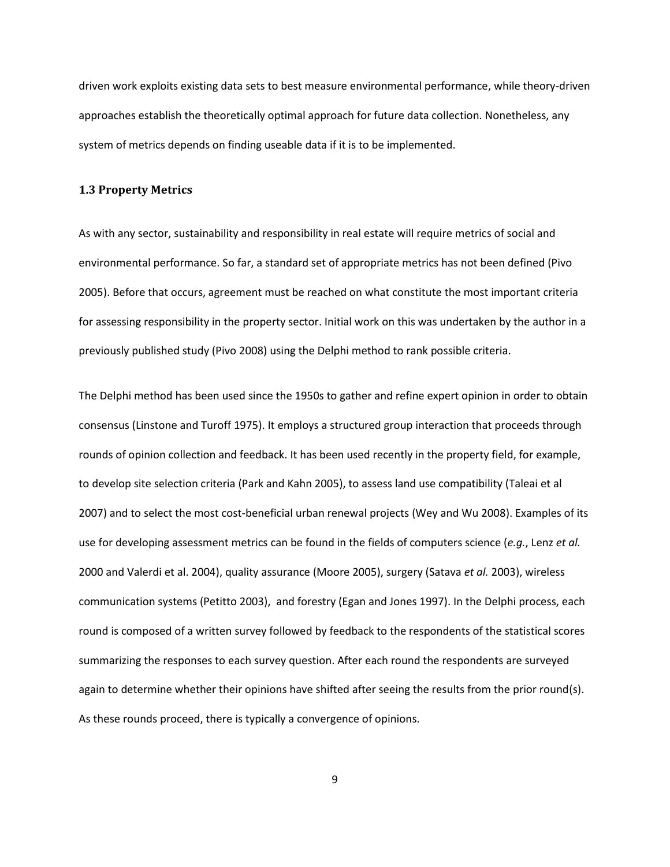driven work exploits existing data sets to best measure environmental performance, while theory-driven approaches establish the theoretically optimal approach for future data collection. Nonetheless, any system of metrics depends on finding useable data if it is to be implemented.

#### **1.3 Property Metrics**

As with any sector, sustainability and responsibility in real estate will require metrics of social and environmental performance. So far, a standard set of appropriate metrics has not been defined (Pivo 2005). Before that occurs, agreement must be reached on what constitute the most important criteria for assessing responsibility in the property sector. Initial work on this was undertaken by the author in a previously published study (Pivo 2008) using the Delphi method to rank possible criteria.

The Delphi method has been used since the 1950s to gather and refine expert opinion in order to obtain consensus (Linstone and Turoff 1975). It employs a structured group interaction that proceeds through rounds of opinion collection and feedback. It has been used recently in the property field, for example, to develop site selection criteria (Park and Kahn 2005), to assess land use compatibility (Taleai et al 2007) and to select the most cost-beneficial urban renewal projects (Wey and Wu 2008). Examples of its use for developing assessment metrics can be found in the fields of computers science (*e.g.*, Lenz *et al.* 2000 and Valerdi et al. 2004), quality assurance (Moore 2005), surgery (Satava *et al.* 2003), wireless communication systems (Petitto 2003), and forestry (Egan and Jones 1997). In the Delphi process, each round is composed of a written survey followed by feedback to the respondents of the statistical scores summarizing the responses to each survey question. After each round the respondents are surveyed again to determine whether their opinions have shifted after seeing the results from the prior round(s). As these rounds proceed, there is typically a convergence of opinions.

9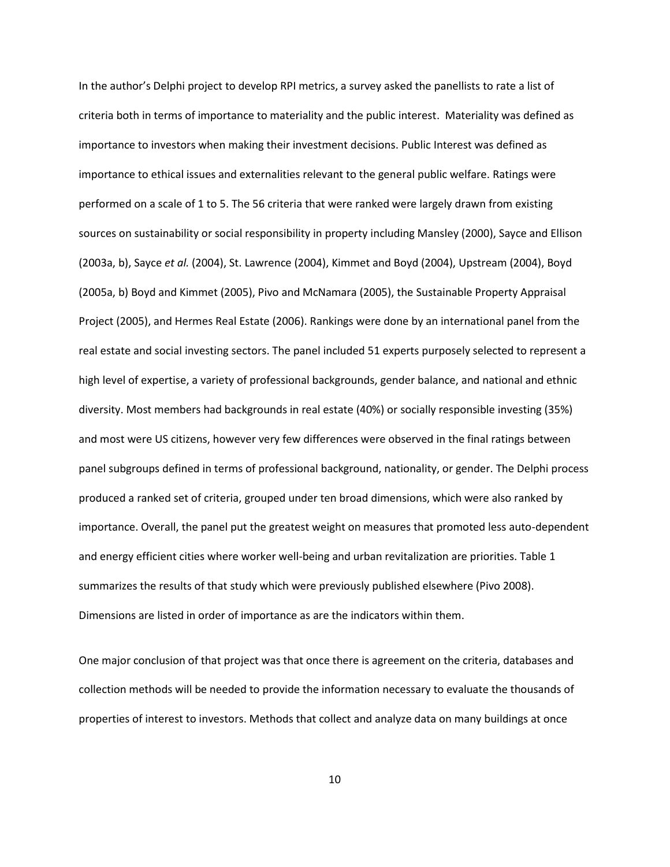In the author's Delphi project to develop RPI metrics, a survey asked the panellists to rate a list of criteria both in terms of importance to materiality and the public interest. Materiality was defined as importance to investors when making their investment decisions. Public Interest was defined as importance to ethical issues and externalities relevant to the general public welfare. Ratings were performed on a scale of 1 to 5. The 56 criteria that were ranked were largely drawn from existing sources on sustainability or social responsibility in property including Mansley (2000), Sayce and Ellison (2003a, b), Sayce *et al.* (2004), St. Lawrence (2004), Kimmet and Boyd (2004), Upstream (2004), Boyd (2005a, b) Boyd and Kimmet (2005), Pivo and McNamara (2005), the Sustainable Property Appraisal Project (2005), and Hermes Real Estate (2006). Rankings were done by an international panel from the real estate and social investing sectors. The panel included 51 experts purposely selected to represent a high level of expertise, a variety of professional backgrounds, gender balance, and national and ethnic diversity. Most members had backgrounds in real estate (40%) or socially responsible investing (35%) and most were US citizens, however very few differences were observed in the final ratings between panel subgroups defined in terms of professional background, nationality, or gender. The Delphi process produced a ranked set of criteria, grouped under ten broad dimensions, which were also ranked by importance. Overall, the panel put the greatest weight on measures that promoted less auto-dependent and energy efficient cities where worker well-being and urban revitalization are priorities. Table 1 summarizes the results of that study which were previously published elsewhere (Pivo 2008). Dimensions are listed in order of importance as are the indicators within them.

One major conclusion of that project was that once there is agreement on the criteria, databases and collection methods will be needed to provide the information necessary to evaluate the thousands of properties of interest to investors. Methods that collect and analyze data on many buildings at once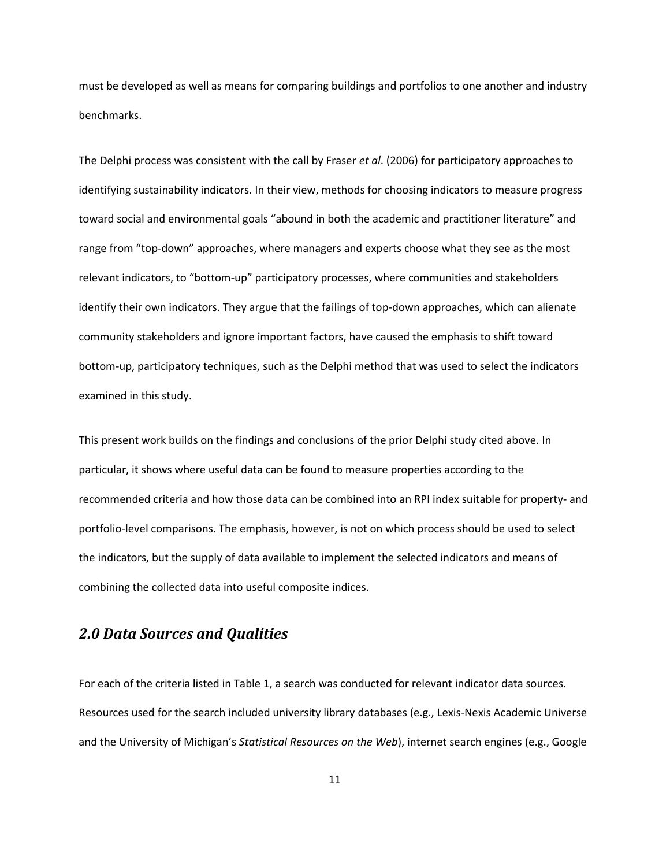must be developed as well as means for comparing buildings and portfolios to one another and industry benchmarks.

The Delphi process was consistent with the call by Fraser *et al*. (2006) for participatory approaches to identifying sustainability indicators. In their view, methods for choosing indicators to measure progress toward social and environmental goals "abound in both the academic and practitioner literature" and range from "top-down" approaches, where managers and experts choose what they see as the most relevant indicators, to "bottom-up" participatory processes, where communities and stakeholders identify their own indicators. They argue that the failings of top-down approaches, which can alienate community stakeholders and ignore important factors, have caused the emphasis to shift toward bottom-up, participatory techniques, such as the Delphi method that was used to select the indicators examined in this study.

This present work builds on the findings and conclusions of the prior Delphi study cited above. In particular, it shows where useful data can be found to measure properties according to the recommended criteria and how those data can be combined into an RPI index suitable for property- and portfolio-level comparisons. The emphasis, however, is not on which process should be used to select the indicators, but the supply of data available to implement the selected indicators and means of combining the collected data into useful composite indices.

# *2.0 Data Sources and Qualities*

For each of the criteria listed in Table 1, a search was conducted for relevant indicator data sources. Resources used for the search included university library databases (e.g., Lexis-Nexis Academic Universe and the University of Michigan's *Statistical Resources on the Web*), internet search engines (e.g., Google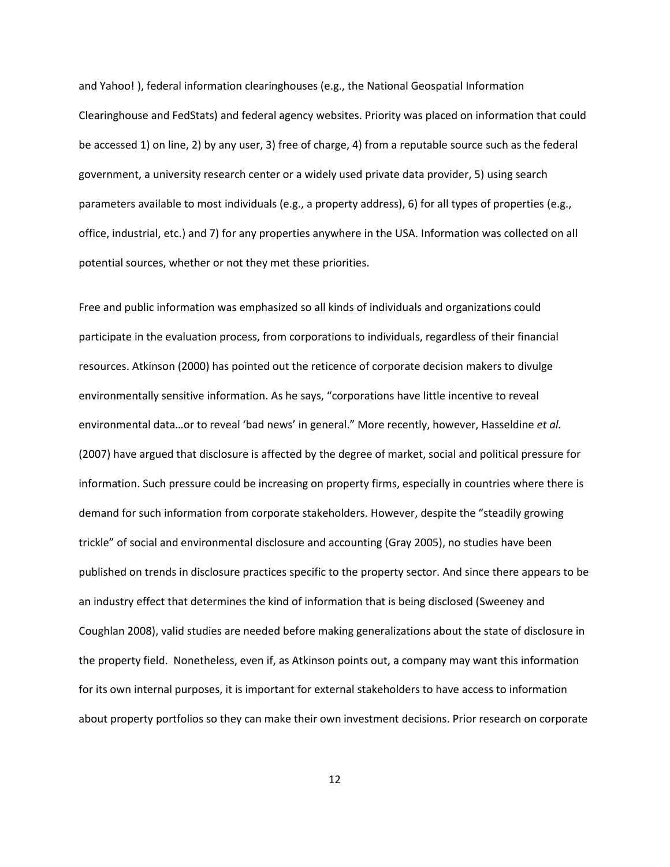and Yahoo! ), federal information clearinghouses (e.g., the National Geospatial Information Clearinghouse and FedStats) and federal agency websites. Priority was placed on information that could be accessed 1) on line, 2) by any user, 3) free of charge, 4) from a reputable source such as the federal government, a university research center or a widely used private data provider, 5) using search parameters available to most individuals (e.g., a property address), 6) for all types of properties (e.g., office, industrial, etc.) and 7) for any properties anywhere in the USA. Information was collected on all potential sources, whether or not they met these priorities.

Free and public information was emphasized so all kinds of individuals and organizations could participate in the evaluation process, from corporations to individuals, regardless of their financial resources. Atkinson (2000) has pointed out the reticence of corporate decision makers to divulge environmentally sensitive information. As he says, "corporations have little incentive to reveal environmental data…or to reveal 'bad news' in general." More recently, however, Hasseldine *et al.* (2007) have argued that disclosure is affected by the degree of market, social and political pressure for information. Such pressure could be increasing on property firms, especially in countries where there is demand for such information from corporate stakeholders. However, despite the "steadily growing trickle" of social and environmental disclosure and accounting (Gray 2005), no studies have been published on trends in disclosure practices specific to the property sector. And since there appears to be an industry effect that determines the kind of information that is being disclosed (Sweeney and Coughlan 2008), valid studies are needed before making generalizations about the state of disclosure in the property field. Nonetheless, even if, as Atkinson points out, a company may want this information for its own internal purposes, it is important for external stakeholders to have access to information about property portfolios so they can make their own investment decisions. Prior research on corporate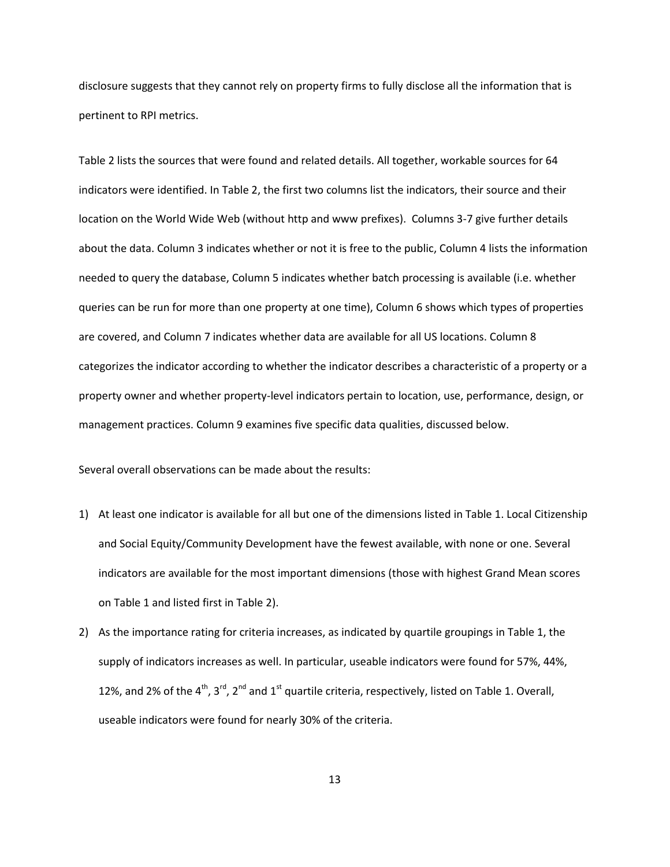disclosure suggests that they cannot rely on property firms to fully disclose all the information that is pertinent to RPI metrics.

Table 2 lists the sources that were found and related details. All together, workable sources for 64 indicators were identified. In Table 2, the first two columns list the indicators, their source and their location on the World Wide Web (without http and www prefixes). Columns 3-7 give further details about the data. Column 3 indicates whether or not it is free to the public, Column 4 lists the information needed to query the database, Column 5 indicates whether batch processing is available (i.e. whether queries can be run for more than one property at one time), Column 6 shows which types of properties are covered, and Column 7 indicates whether data are available for all US locations. Column 8 categorizes the indicator according to whether the indicator describes a characteristic of a property or a property owner and whether property-level indicators pertain to location, use, performance, design, or management practices. Column 9 examines five specific data qualities, discussed below.

Several overall observations can be made about the results:

- 1) At least one indicator is available for all but one of the dimensions listed in Table 1. Local Citizenship and Social Equity/Community Development have the fewest available, with none or one. Several indicators are available for the most important dimensions (those with highest Grand Mean scores on Table 1 and listed first in Table 2).
- 2) As the importance rating for criteria increases, as indicated by quartile groupings in Table 1, the supply of indicators increases as well. In particular, useable indicators were found for 57%, 44%, 12%, and 2% of the 4<sup>th</sup>, 3<sup>rd</sup>, 2<sup>nd</sup> and 1<sup>st</sup> quartile criteria, respectively, listed on Table 1. Overall, useable indicators were found for nearly 30% of the criteria.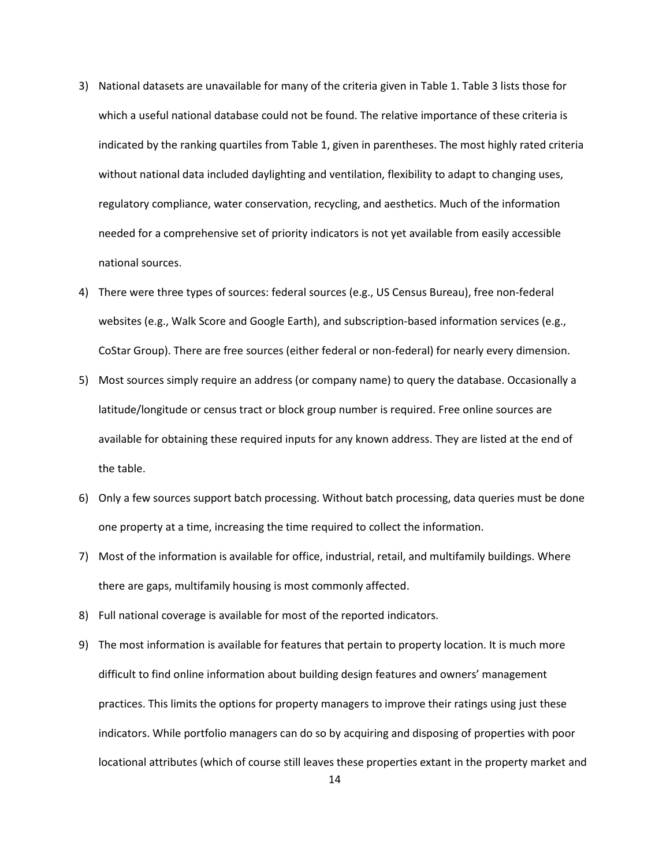- 3) National datasets are unavailable for many of the criteria given in Table 1. Table 3 lists those for which a useful national database could not be found. The relative importance of these criteria is indicated by the ranking quartiles from Table 1, given in parentheses. The most highly rated criteria without national data included daylighting and ventilation, flexibility to adapt to changing uses, regulatory compliance, water conservation, recycling, and aesthetics. Much of the information needed for a comprehensive set of priority indicators is not yet available from easily accessible national sources.
- 4) There were three types of sources: federal sources (e.g., US Census Bureau), free non-federal websites (e.g., Walk Score and Google Earth), and subscription-based information services (e.g., CoStar Group). There are free sources (either federal or non-federal) for nearly every dimension.
- 5) Most sources simply require an address (or company name) to query the database. Occasionally a latitude/longitude or census tract or block group number is required. Free online sources are available for obtaining these required inputs for any known address. They are listed at the end of the table.
- 6) Only a few sources support batch processing. Without batch processing, data queries must be done one property at a time, increasing the time required to collect the information.
- 7) Most of the information is available for office, industrial, retail, and multifamily buildings. Where there are gaps, multifamily housing is most commonly affected.
- 8) Full national coverage is available for most of the reported indicators.
- 9) The most information is available for features that pertain to property location. It is much more difficult to find online information about building design features and owners' management practices. This limits the options for property managers to improve their ratings using just these indicators. While portfolio managers can do so by acquiring and disposing of properties with poor locational attributes (which of course still leaves these properties extant in the property market and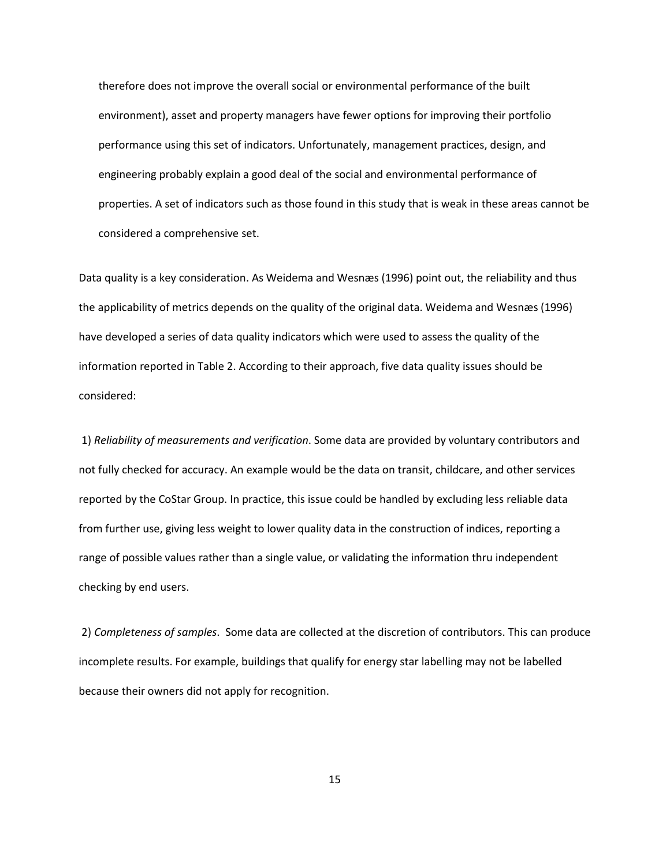therefore does not improve the overall social or environmental performance of the built environment), asset and property managers have fewer options for improving their portfolio performance using this set of indicators. Unfortunately, management practices, design, and engineering probably explain a good deal of the social and environmental performance of properties. A set of indicators such as those found in this study that is weak in these areas cannot be considered a comprehensive set.

Data quality is a key consideration. As Weidema and Wesnæs (1996) point out, the reliability and thus the applicability of metrics depends on the quality of the original data. Weidema and Wesnæs (1996) have developed a series of data quality indicators which were used to assess the quality of the information reported in Table 2. According to their approach, five data quality issues should be considered:

1) *Reliability of measurements and verification*. Some data are provided by voluntary contributors and not fully checked for accuracy. An example would be the data on transit, childcare, and other services reported by the CoStar Group. In practice, this issue could be handled by excluding less reliable data from further use, giving less weight to lower quality data in the construction of indices, reporting a range of possible values rather than a single value, or validating the information thru independent checking by end users.

2) *Completeness of samples*. Some data are collected at the discretion of contributors. This can produce incomplete results. For example, buildings that qualify for energy star labelling may not be labelled because their owners did not apply for recognition.

15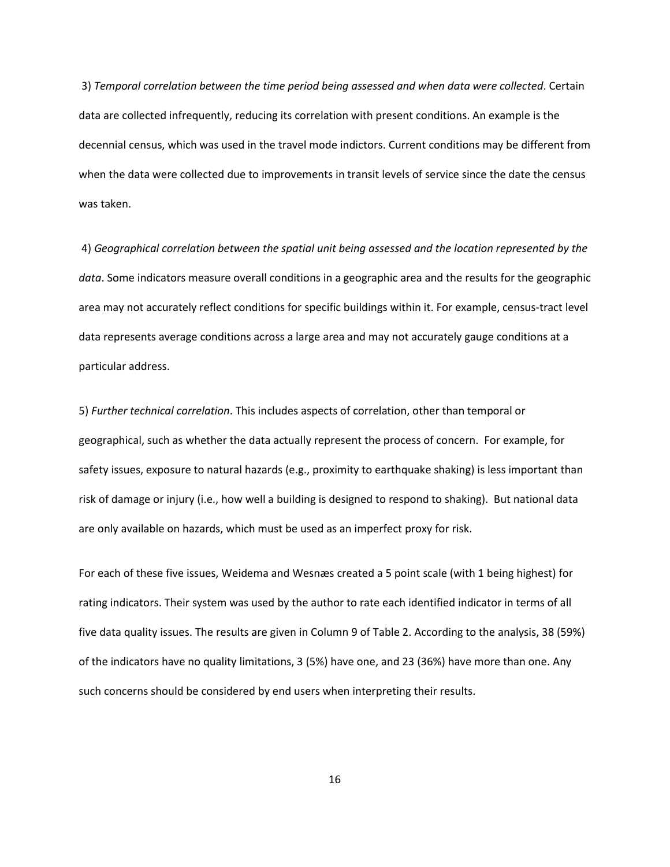3) *Temporal correlation between the time period being assessed and when data were collected*. Certain data are collected infrequently, reducing its correlation with present conditions. An example is the decennial census, which was used in the travel mode indictors. Current conditions may be different from when the data were collected due to improvements in transit levels of service since the date the census was taken.

4) *Geographical correlation between the spatial unit being assessed and the location represented by the data*. Some indicators measure overall conditions in a geographic area and the results for the geographic area may not accurately reflect conditions for specific buildings within it. For example, census-tract level data represents average conditions across a large area and may not accurately gauge conditions at a particular address.

5) *Further technical correlation*. This includes aspects of correlation, other than temporal or geographical, such as whether the data actually represent the process of concern. For example, for safety issues, exposure to natural hazards (e.g., proximity to earthquake shaking) is less important than risk of damage or injury (i.e., how well a building is designed to respond to shaking). But national data are only available on hazards, which must be used as an imperfect proxy for risk.

For each of these five issues, Weidema and Wesnæs created a 5 point scale (with 1 being highest) for rating indicators. Their system was used by the author to rate each identified indicator in terms of all five data quality issues. The results are given in Column 9 of Table 2. According to the analysis, 38 (59%) of the indicators have no quality limitations, 3 (5%) have one, and 23 (36%) have more than one. Any such concerns should be considered by end users when interpreting their results.

16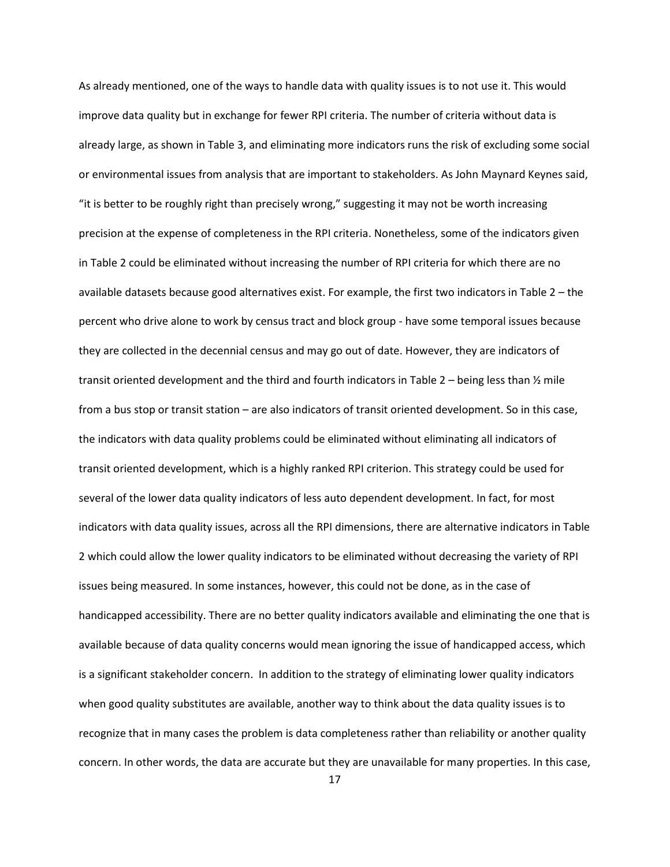As already mentioned, one of the ways to handle data with quality issues is to not use it. This would improve data quality but in exchange for fewer RPI criteria. The number of criteria without data is already large, as shown in Table 3, and eliminating more indicators runs the risk of excluding some social or environmental issues from analysis that are important to stakeholders. As John Maynard Keynes said, "it is better to be roughly right than precisely wrong," suggesting it may not be worth increasing precision at the expense of completeness in the RPI criteria. Nonetheless, some of the indicators given in Table 2 could be eliminated without increasing the number of RPI criteria for which there are no available datasets because good alternatives exist. For example, the first two indicators in Table 2 – the percent who drive alone to work by census tract and block group - have some temporal issues because they are collected in the decennial census and may go out of date. However, they are indicators of transit oriented development and the third and fourth indicators in Table 2 – being less than  $\frac{1}{2}$  mile from a bus stop or transit station – are also indicators of transit oriented development. So in this case, the indicators with data quality problems could be eliminated without eliminating all indicators of transit oriented development, which is a highly ranked RPI criterion. This strategy could be used for several of the lower data quality indicators of less auto dependent development. In fact, for most indicators with data quality issues, across all the RPI dimensions, there are alternative indicators in Table 2 which could allow the lower quality indicators to be eliminated without decreasing the variety of RPI issues being measured. In some instances, however, this could not be done, as in the case of handicapped accessibility. There are no better quality indicators available and eliminating the one that is available because of data quality concerns would mean ignoring the issue of handicapped access, which is a significant stakeholder concern. In addition to the strategy of eliminating lower quality indicators when good quality substitutes are available, another way to think about the data quality issues is to recognize that in many cases the problem is data completeness rather than reliability or another quality concern. In other words, the data are accurate but they are unavailable for many properties. In this case,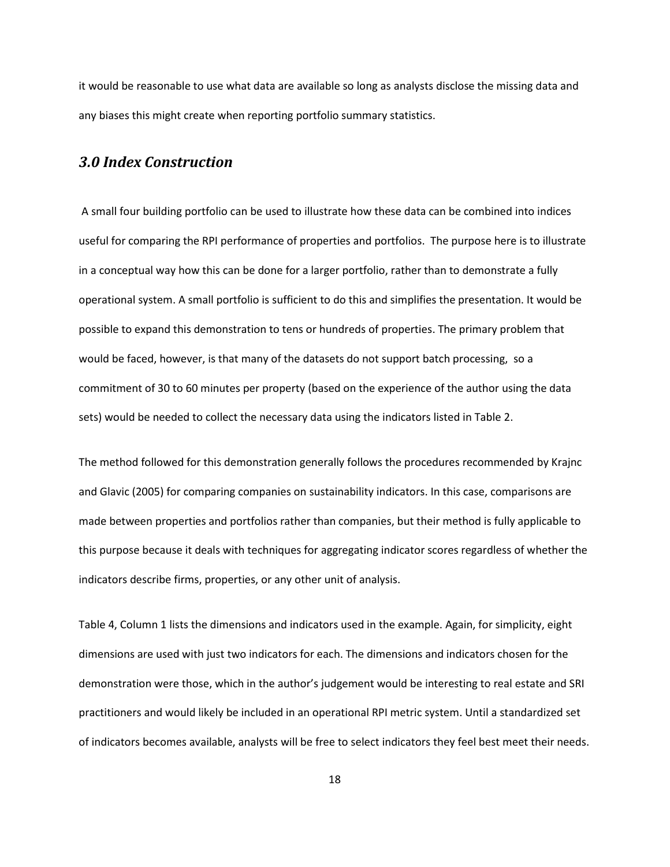it would be reasonable to use what data are available so long as analysts disclose the missing data and any biases this might create when reporting portfolio summary statistics.

### *3.0 Index Construction*

A small four building portfolio can be used to illustrate how these data can be combined into indices useful for comparing the RPI performance of properties and portfolios. The purpose here is to illustrate in a conceptual way how this can be done for a larger portfolio, rather than to demonstrate a fully operational system. A small portfolio is sufficient to do this and simplifies the presentation. It would be possible to expand this demonstration to tens or hundreds of properties. The primary problem that would be faced, however, is that many of the datasets do not support batch processing, so a commitment of 30 to 60 minutes per property (based on the experience of the author using the data sets) would be needed to collect the necessary data using the indicators listed in Table 2.

The method followed for this demonstration generally follows the procedures recommended by Krajnc and Glavic (2005) for comparing companies on sustainability indicators. In this case, comparisons are made between properties and portfolios rather than companies, but their method is fully applicable to this purpose because it deals with techniques for aggregating indicator scores regardless of whether the indicators describe firms, properties, or any other unit of analysis.

Table 4, Column 1 lists the dimensions and indicators used in the example. Again, for simplicity, eight dimensions are used with just two indicators for each. The dimensions and indicators chosen for the demonstration were those, which in the author's judgement would be interesting to real estate and SRI practitioners and would likely be included in an operational RPI metric system. Until a standardized set of indicators becomes available, analysts will be free to select indicators they feel best meet their needs.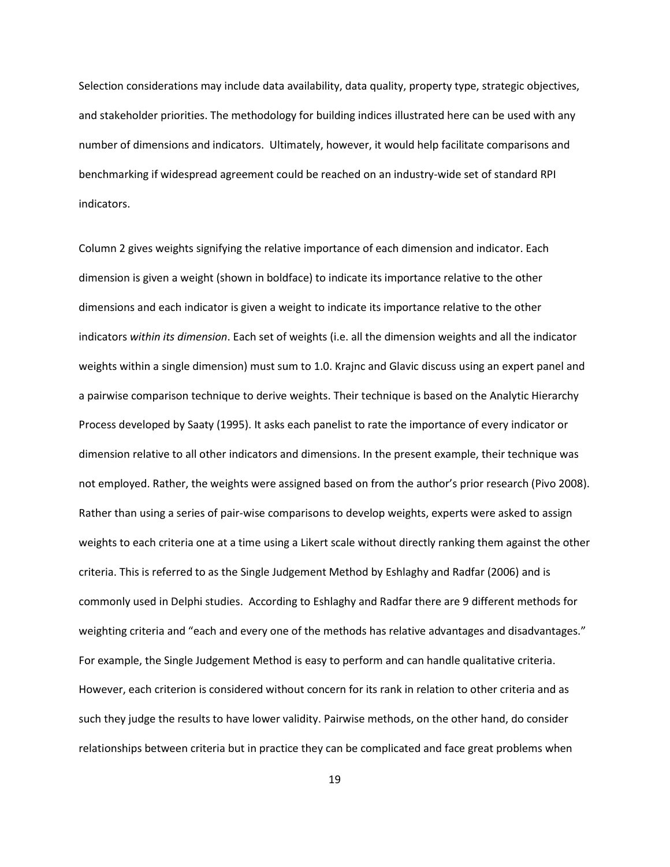Selection considerations may include data availability, data quality, property type, strategic objectives, and stakeholder priorities. The methodology for building indices illustrated here can be used with any number of dimensions and indicators. Ultimately, however, it would help facilitate comparisons and benchmarking if widespread agreement could be reached on an industry-wide set of standard RPI indicators.

Column 2 gives weights signifying the relative importance of each dimension and indicator. Each dimension is given a weight (shown in boldface) to indicate its importance relative to the other dimensions and each indicator is given a weight to indicate its importance relative to the other indicators *within its dimension*. Each set of weights (i.e. all the dimension weights and all the indicator weights within a single dimension) must sum to 1.0. Krajnc and Glavic discuss using an expert panel and a pairwise comparison technique to derive weights. Their technique is based on the Analytic Hierarchy Process developed by Saaty (1995). It asks each panelist to rate the importance of every indicator or dimension relative to all other indicators and dimensions. In the present example, their technique was not employed. Rather, the weights were assigned based on from the author's prior research (Pivo 2008). Rather than using a series of pair-wise comparisons to develop weights, experts were asked to assign weights to each criteria one at a time using a Likert scale without directly ranking them against the other criteria. This is referred to as the Single Judgement Method by Eshlaghy and Radfar (2006) and is commonly used in Delphi studies. According to Eshlaghy and Radfar there are 9 different methods for weighting criteria and "each and every one of the methods has relative advantages and disadvantages." For example, the Single Judgement Method is easy to perform and can handle qualitative criteria. However, each criterion is considered without concern for its rank in relation to other criteria and as such they judge the results to have lower validity. Pairwise methods, on the other hand, do consider relationships between criteria but in practice they can be complicated and face great problems when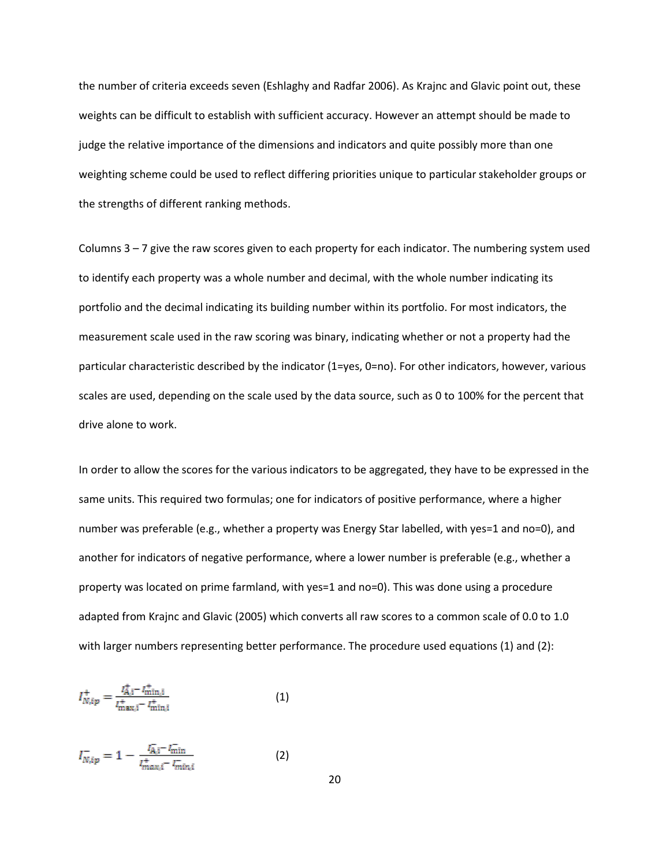the number of criteria exceeds seven (Eshlaghy and Radfar 2006). As Krajnc and Glavic point out, these weights can be difficult to establish with sufficient accuracy. However an attempt should be made to judge the relative importance of the dimensions and indicators and quite possibly more than one weighting scheme could be used to reflect differing priorities unique to particular stakeholder groups or the strengths of different ranking methods.

Columns 3 – 7 give the raw scores given to each property for each indicator. The numbering system used to identify each property was a whole number and decimal, with the whole number indicating its portfolio and the decimal indicating its building number within its portfolio. For most indicators, the measurement scale used in the raw scoring was binary, indicating whether or not a property had the particular characteristic described by the indicator (1=yes, 0=no). For other indicators, however, various scales are used, depending on the scale used by the data source, such as 0 to 100% for the percent that drive alone to work.

In order to allow the scores for the various indicators to be aggregated, they have to be expressed in the same units. This required two formulas; one for indicators of positive performance, where a higher number was preferable (e.g., whether a property was Energy Star labelled, with yes=1 and no=0), and another for indicators of negative performance, where a lower number is preferable (e.g., whether a property was located on prime farmland, with yes=1 and no=0). This was done using a procedure adapted from Krajnc and Glavic (2005) which converts all raw scores to a common scale of 0.0 to 1.0 with larger numbers representing better performance. The procedure used equations (1) and (2):

$$
I_{N,ip}^{+} = \frac{I_{A,i}^{+} - I_{\min,i}^{+}}{I_{\max,i}^{+} - I_{\min,i}^{+}}
$$
(1)

$$
I_{N,ip}^{-} = 1 - \frac{I_{A,i}^{-} - I_{\min}^{-}}{I_{max,i}^{+} - I_{\min,i}^{-}}
$$
 (2)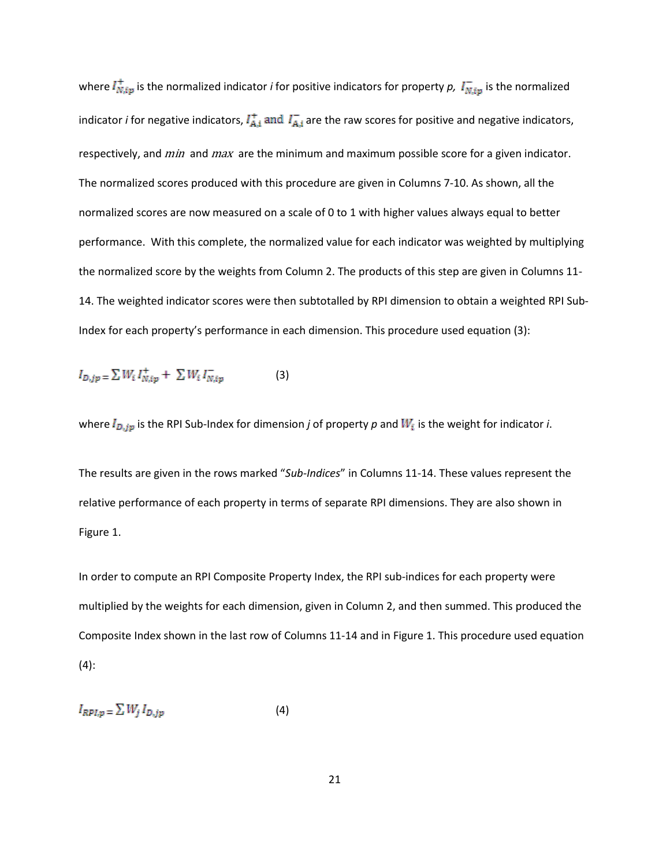where  $I_{N,ip}^+$  is the normalized indicator *i* for positive indicators for property *p*,  $I_{N,ip}^-$  is the normalized indicator *i* for negative indicators,  $I_{A,i}^+$  and  $I_{A,i}^-$  are the raw scores for positive and negative indicators, respectively, and *min* and *max* are the minimum and maximum possible score for a given indicator. The normalized scores produced with this procedure are given in Columns 7-10. As shown, all the normalized scores are now measured on a scale of 0 to 1 with higher values always equal to better performance. With this complete, the normalized value for each indicator was weighted by multiplying the normalized score by the weights from Column 2. The products of this step are given in Columns 11- 14. The weighted indicator scores were then subtotalled by RPI dimension to obtain a weighted RPI Sub-Index for each property's performance in each dimension. This procedure used equation (3):

$$
I_{D,jp} = \sum W_i I_{N,ip}^+ + \sum W_i I_{N,ip}^- \tag{3}
$$

where  $I_{D,jp}$  is the RPI Sub-Index for dimension *j* of property *p* and  $W_i$  is the weight for indicator *i*.

The results are given in the rows marked "*Sub-Indices*" in Columns 11-14. These values represent the relative performance of each property in terms of separate RPI dimensions. They are also shown in Figure 1.

In order to compute an RPI Composite Property Index, the RPI sub-indices for each property were multiplied by the weights for each dimension, given in Column 2, and then summed. This produced the Composite Index shown in the last row of Columns 11-14 and in Figure 1. This procedure used equation (4):

$$
I_{RPI,p} = \sum W_j I_{D,jp} \tag{4}
$$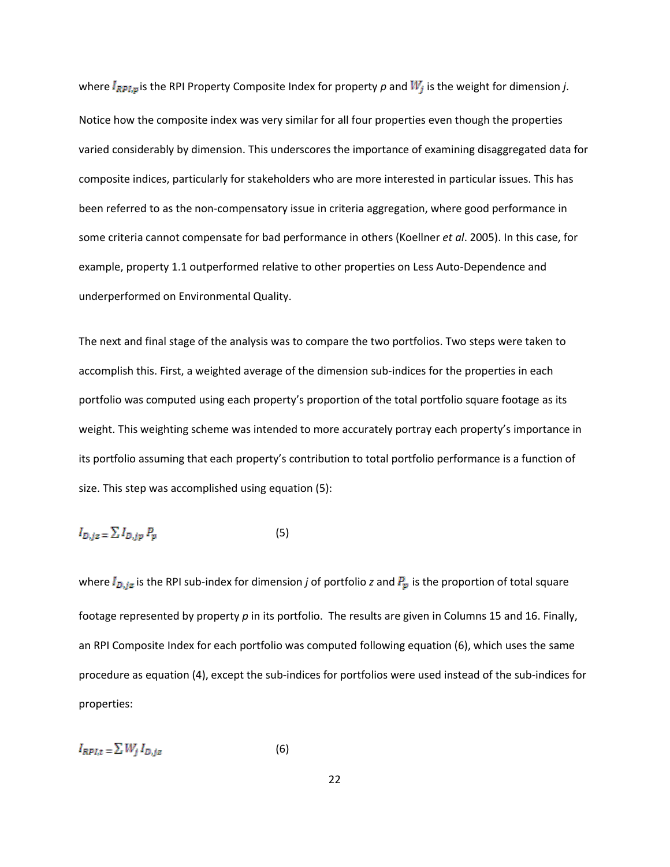where  $I_{RPI,p}$  is the RPI Property Composite Index for property p and  $W_j$  is the weight for dimension *j*. Notice how the composite index was very similar for all four properties even though the properties varied considerably by dimension. This underscores the importance of examining disaggregated data for composite indices, particularly for stakeholders who are more interested in particular issues. This has been referred to as the non-compensatory issue in criteria aggregation, where good performance in some criteria cannot compensate for bad performance in others (Koellner *et al*. 2005). In this case, for example, property 1.1 outperformed relative to other properties on Less Auto-Dependence and underperformed on Environmental Quality.

The next and final stage of the analysis was to compare the two portfolios. Two steps were taken to accomplish this. First, a weighted average of the dimension sub-indices for the properties in each portfolio was computed using each property's proportion of the total portfolio square footage as its weight. This weighting scheme was intended to more accurately portray each property's importance in its portfolio assuming that each property's contribution to total portfolio performance is a function of size. This step was accomplished using equation (5):

$$
I_{D,jz} = \sum I_{D,jp} P_p \tag{5}
$$

where  $I_{D,jz}$  is the RPI sub-index for dimension *j* of portfolio *z* and  $P_p$  is the proportion of total square footage represented by property *p* in its portfolio. The results are given in Columns 15 and 16. Finally, an RPI Composite Index for each portfolio was computed following equation (6), which uses the same procedure as equation (4), except the sub-indices for portfolios were used instead of the sub-indices for properties:

$$
I_{RPI,t} = \sum W_j I_{D,jz} \tag{6}
$$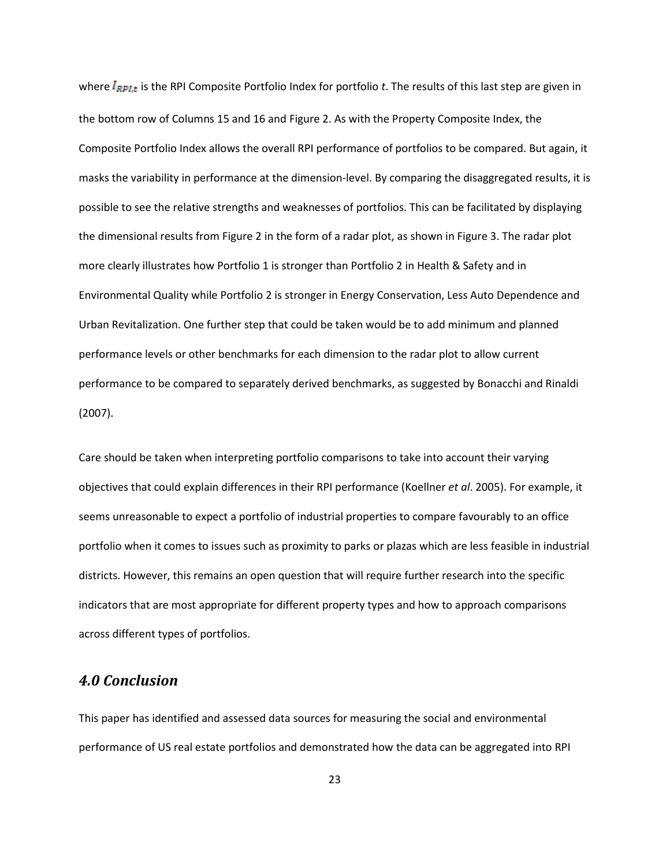where  $I_{RPLt}$  is the RPI Composite Portfolio Index for portfolio *t*. The results of this last step are given in the bottom row of Columns 15 and 16 and Figure 2. As with the Property Composite Index, the Composite Portfolio Index allows the overall RPI performance of portfolios to be compared. But again, it masks the variability in performance at the dimension-level. By comparing the disaggregated results, it is possible to see the relative strengths and weaknesses of portfolios. This can be facilitated by displaying the dimensional results from Figure 2 in the form of a radar plot, as shown in Figure 3. The radar plot more clearly illustrates how Portfolio 1 is stronger than Portfolio 2 in Health & Safety and in Environmental Quality while Portfolio 2 is stronger in Energy Conservation, Less Auto Dependence and Urban Revitalization. One further step that could be taken would be to add minimum and planned performance levels or other benchmarks for each dimension to the radar plot to allow current performance to be compared to separately derived benchmarks, as suggested by Bonacchi and Rinaldi (2007).

Care should be taken when interpreting portfolio comparisons to take into account their varying objectives that could explain differences in their RPI performance (Koellner *et al*. 2005). For example, it seems unreasonable to expect a portfolio of industrial properties to compare favourably to an office portfolio when it comes to issues such as proximity to parks or plazas which are less feasible in industrial districts. However, this remains an open question that will require further research into the specific indicators that are most appropriate for different property types and how to approach comparisons across different types of portfolios.

### *4.0 Conclusion*

This paper has identified and assessed data sources for measuring the social and environmental performance of US real estate portfolios and demonstrated how the data can be aggregated into RPI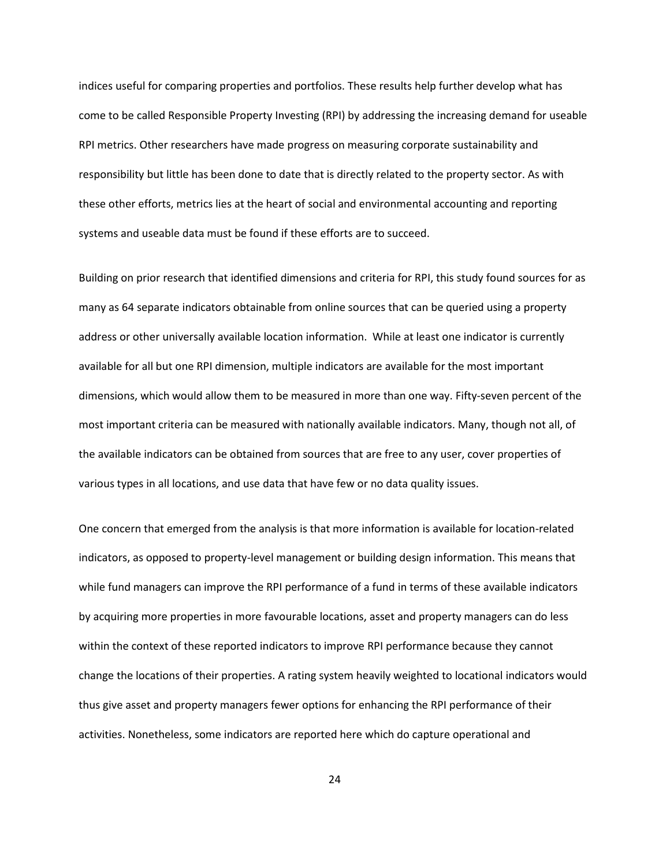indices useful for comparing properties and portfolios. These results help further develop what has come to be called Responsible Property Investing (RPI) by addressing the increasing demand for useable RPI metrics. Other researchers have made progress on measuring corporate sustainability and responsibility but little has been done to date that is directly related to the property sector. As with these other efforts, metrics lies at the heart of social and environmental accounting and reporting systems and useable data must be found if these efforts are to succeed.

Building on prior research that identified dimensions and criteria for RPI, this study found sources for as many as 64 separate indicators obtainable from online sources that can be queried using a property address or other universally available location information. While at least one indicator is currently available for all but one RPI dimension, multiple indicators are available for the most important dimensions, which would allow them to be measured in more than one way. Fifty-seven percent of the most important criteria can be measured with nationally available indicators. Many, though not all, of the available indicators can be obtained from sources that are free to any user, cover properties of various types in all locations, and use data that have few or no data quality issues.

One concern that emerged from the analysis is that more information is available for location-related indicators, as opposed to property-level management or building design information. This means that while fund managers can improve the RPI performance of a fund in terms of these available indicators by acquiring more properties in more favourable locations, asset and property managers can do less within the context of these reported indicators to improve RPI performance because they cannot change the locations of their properties. A rating system heavily weighted to locational indicators would thus give asset and property managers fewer options for enhancing the RPI performance of their activities. Nonetheless, some indicators are reported here which do capture operational and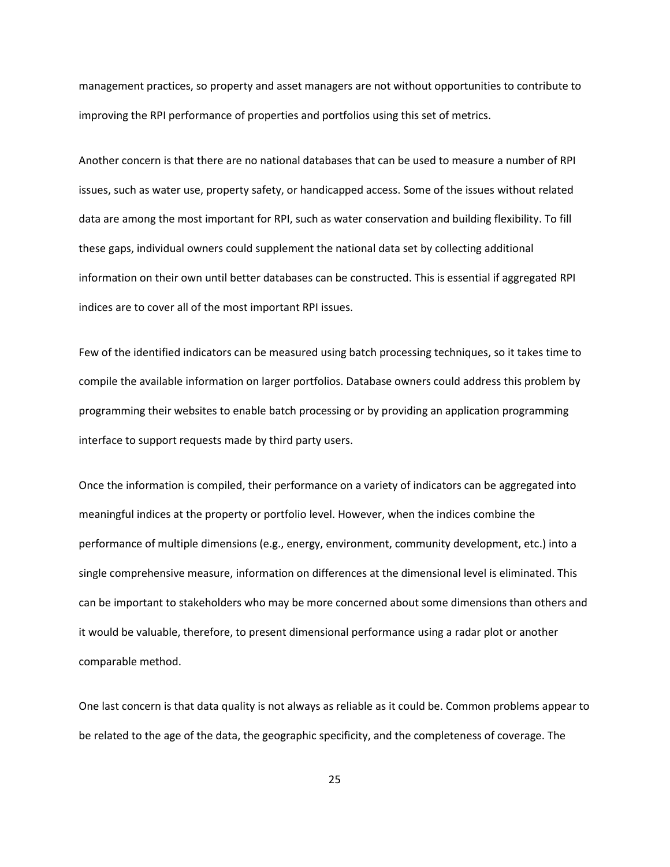management practices, so property and asset managers are not without opportunities to contribute to improving the RPI performance of properties and portfolios using this set of metrics.

Another concern is that there are no national databases that can be used to measure a number of RPI issues, such as water use, property safety, or handicapped access. Some of the issues without related data are among the most important for RPI, such as water conservation and building flexibility. To fill these gaps, individual owners could supplement the national data set by collecting additional information on their own until better databases can be constructed. This is essential if aggregated RPI indices are to cover all of the most important RPI issues.

Few of the identified indicators can be measured using batch processing techniques, so it takes time to compile the available information on larger portfolios. Database owners could address this problem by programming their websites to enable batch processing or by providing an application programming interface to support requests made by third party users.

Once the information is compiled, their performance on a variety of indicators can be aggregated into meaningful indices at the property or portfolio level. However, when the indices combine the performance of multiple dimensions (e.g., energy, environment, community development, etc.) into a single comprehensive measure, information on differences at the dimensional level is eliminated. This can be important to stakeholders who may be more concerned about some dimensions than others and it would be valuable, therefore, to present dimensional performance using a radar plot or another comparable method.

One last concern is that data quality is not always as reliable as it could be. Common problems appear to be related to the age of the data, the geographic specificity, and the completeness of coverage. The

25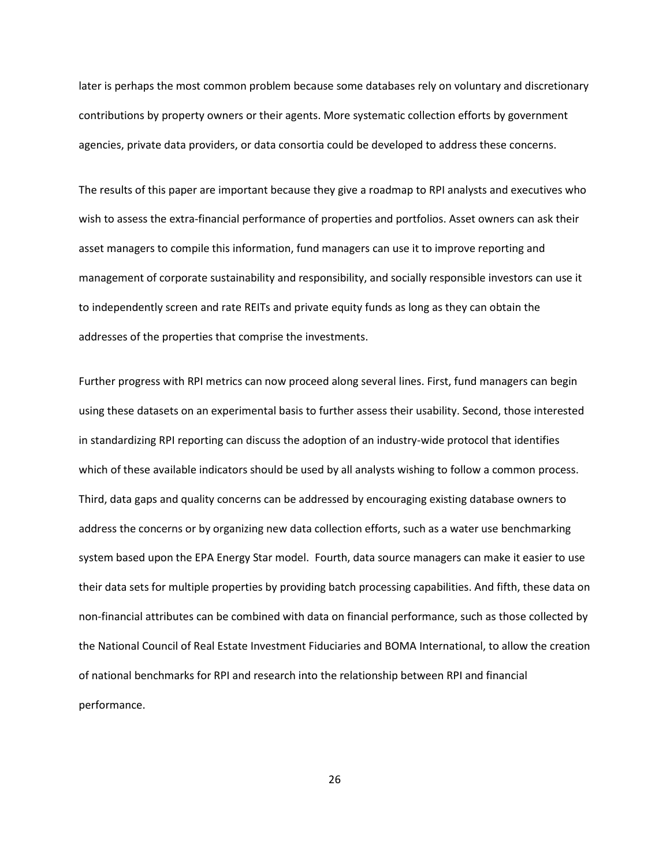later is perhaps the most common problem because some databases rely on voluntary and discretionary contributions by property owners or their agents. More systematic collection efforts by government agencies, private data providers, or data consortia could be developed to address these concerns.

The results of this paper are important because they give a roadmap to RPI analysts and executives who wish to assess the extra-financial performance of properties and portfolios. Asset owners can ask their asset managers to compile this information, fund managers can use it to improve reporting and management of corporate sustainability and responsibility, and socially responsible investors can use it to independently screen and rate REITs and private equity funds as long as they can obtain the addresses of the properties that comprise the investments.

Further progress with RPI metrics can now proceed along several lines. First, fund managers can begin using these datasets on an experimental basis to further assess their usability. Second, those interested in standardizing RPI reporting can discuss the adoption of an industry-wide protocol that identifies which of these available indicators should be used by all analysts wishing to follow a common process. Third, data gaps and quality concerns can be addressed by encouraging existing database owners to address the concerns or by organizing new data collection efforts, such as a water use benchmarking system based upon the EPA Energy Star model. Fourth, data source managers can make it easier to use their data sets for multiple properties by providing batch processing capabilities. And fifth, these data on non-financial attributes can be combined with data on financial performance, such as those collected by the National Council of Real Estate Investment Fiduciaries and BOMA International, to allow the creation of national benchmarks for RPI and research into the relationship between RPI and financial performance.

26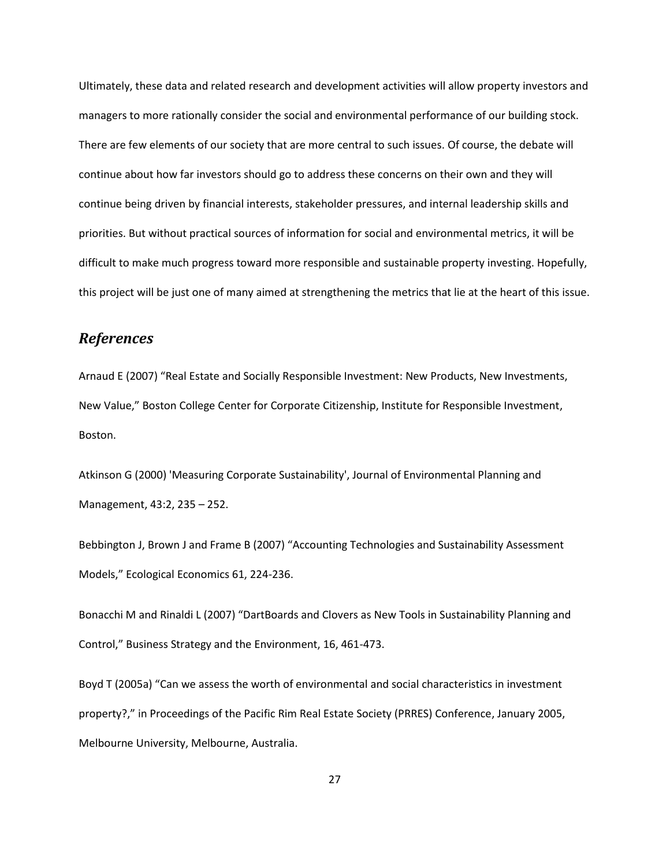Ultimately, these data and related research and development activities will allow property investors and managers to more rationally consider the social and environmental performance of our building stock. There are few elements of our society that are more central to such issues. Of course, the debate will continue about how far investors should go to address these concerns on their own and they will continue being driven by financial interests, stakeholder pressures, and internal leadership skills and priorities. But without practical sources of information for social and environmental metrics, it will be difficult to make much progress toward more responsible and sustainable property investing. Hopefully, this project will be just one of many aimed at strengthening the metrics that lie at the heart of this issue.

# *References*

Arnaud E (2007) "Real Estate and Socially Responsible Investment: New Products, New Investments, New Value," Boston College Center for Corporate Citizenship, Institute for Responsible Investment, Boston.

Atkinson G (2000) 'Measuring Corporate Sustainability', Journal of Environmental Planning and Management, 43:2, 235 – 252.

Bebbington J, Brown J and Frame B (2007) "Accounting Technologies and Sustainability Assessment Models," Ecological Economics 61, 224-236.

Bonacchi M and Rinaldi L (2007) "DartBoards and Clovers as New Tools in Sustainability Planning and Control," Business Strategy and the Environment, 16, 461-473.

Boyd T (2005a) "Can we assess the worth of environmental and social characteristics in investment property?," in Proceedings of the Pacific Rim Real Estate Society (PRRES) Conference, January 2005, Melbourne University, Melbourne, Australia.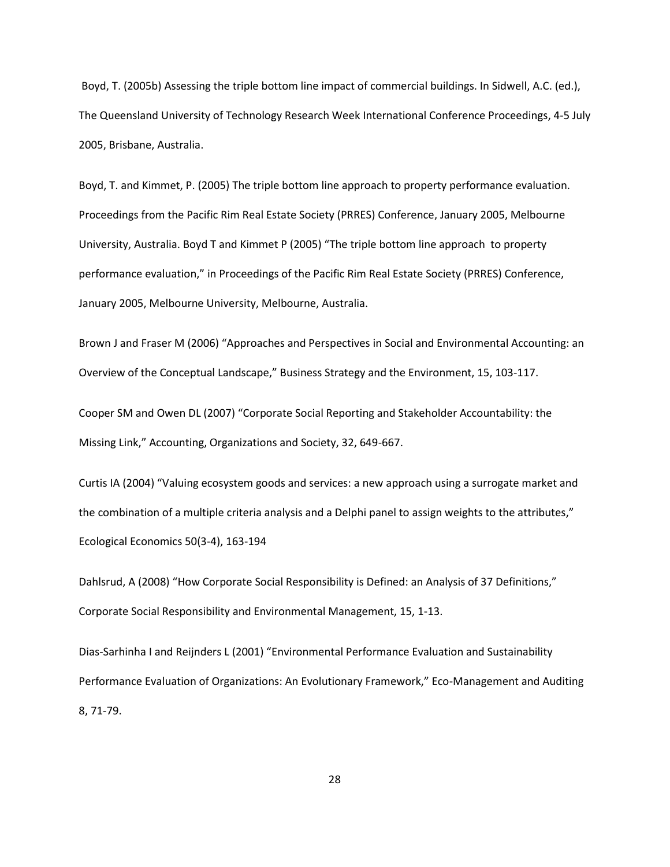Boyd, T. (2005b) Assessing the triple bottom line impact of commercial buildings. In Sidwell, A.C. (ed.), The Queensland University of Technology Research Week International Conference Proceedings, 4-5 July 2005, Brisbane, Australia.

Boyd, T. and Kimmet, P. (2005) The triple bottom line approach to property performance evaluation. Proceedings from the Pacific Rim Real Estate Society (PRRES) Conference, January 2005, Melbourne University, Australia. Boyd T and Kimmet P (2005) "The triple bottom line approach to property performance evaluation," in Proceedings of the Pacific Rim Real Estate Society (PRRES) Conference, January 2005, Melbourne University, Melbourne, Australia.

Brown J and Fraser M (2006) "Approaches and Perspectives in Social and Environmental Accounting: an Overview of the Conceptual Landscape," Business Strategy and the Environment, 15, 103-117.

Cooper SM and Owen DL (2007) "Corporate Social Reporting and Stakeholder Accountability: the Missing Link," Accounting, Organizations and Society, 32, 649-667.

Curtis IA (2004) "Valuing ecosystem goods and services: a new approach using a surrogate market and the combination of a multiple criteria analysis and a Delphi panel to assign weights to the attributes," [Ecological Economics](http://www.sciencedirect.com/science/journal/09218009) [50\(3-4\)](http://www.sciencedirect.com/science?_ob=PublicationURL&_tockey=%23TOC%235995%232004%23999499996%23523690%23FLA%23&_cdi=5995&_pubType=J&view=c&_auth=y&_acct=C000050221&_version=1&_urlVersion=0&_userid=10&md5=007e90e871d501368689ffc40e35fb64), 163-194

Dahlsrud, A (2008) "How Corporate Social Responsibility is Defined: an Analysis of 37 Definitions," Corporate Social Responsibility and Environmental Management, 15, 1-13.

Dias-Sarhinha I and Reijnders L (2001) "Environmental Performance Evaluation and Sustainability Performance Evaluation of Organizations: An Evolutionary Framework," Eco-Management and Auditing 8, 71-79.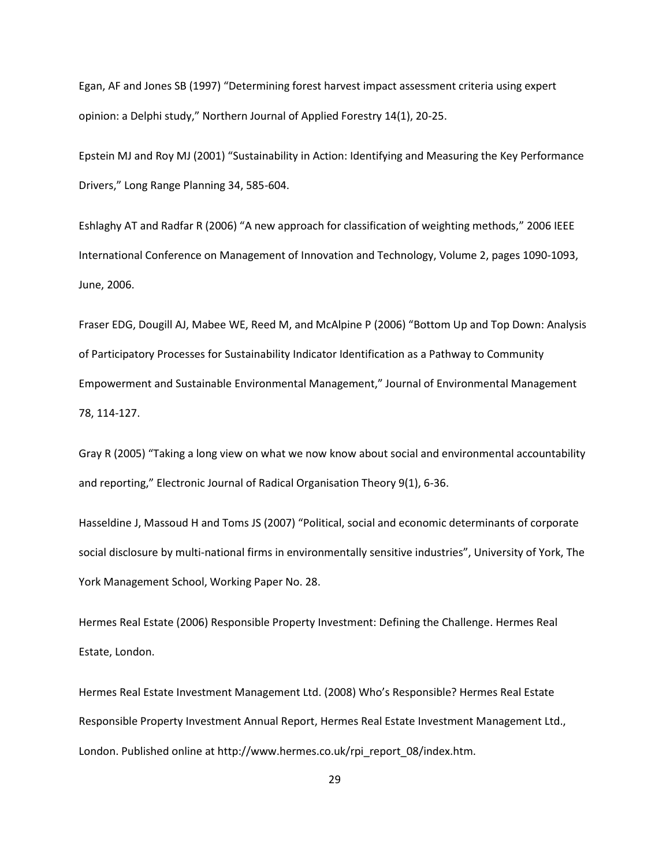Egan, AF and Jones SB (1997) "Determining forest harvest impact assessment criteria using expert opinion: a Delphi study," Northern Journal of Applied Forestry 14(1), 20-25.

Epstein MJ and Roy MJ (2001) "Sustainability in Action: Identifying and Measuring the Key Performance Drivers," Long Range Planning 34, 585-604.

Eshlaghy AT and Radfar R (2006) "A new approach for classification of weighting methods," 2006 IEEE International Conference on Management of Innovation and Technology, Volume 2, pages 1090-1093, June, 2006.

Fraser EDG, Dougill AJ, Mabee WE, Reed M, and McAlpine P (2006) "Bottom Up and Top Down: Analysis of Participatory Processes for Sustainability Indicator Identification as a Pathway to Community Empowerment and Sustainable Environmental Management," Journal of Environmental Management 78, 114-127.

Gray R (2005) "Taking a long view on what we now know about social and environmental accountability and reporting," Electronic Journal of Radical Organisation Theory 9(1), 6-36.

Hasseldine J, Massoud H and Toms JS (2007) "Political, social and economic determinants of corporate social disclosure by multi-national firms in environmentally sensitive industries", University of York, The York Management School, Working Paper No. 28.

Hermes Real Estate (2006) Responsible Property Investment: Defining the Challenge. Hermes Real Estate, London.

Hermes Real Estate Investment Management Ltd. (2008) Who's Responsible? Hermes Real Estate Responsible Property Investment Annual Report, Hermes Real Estate Investment Management Ltd., London. Published online at http://www.hermes.co.uk/rpi\_report\_08/index.htm.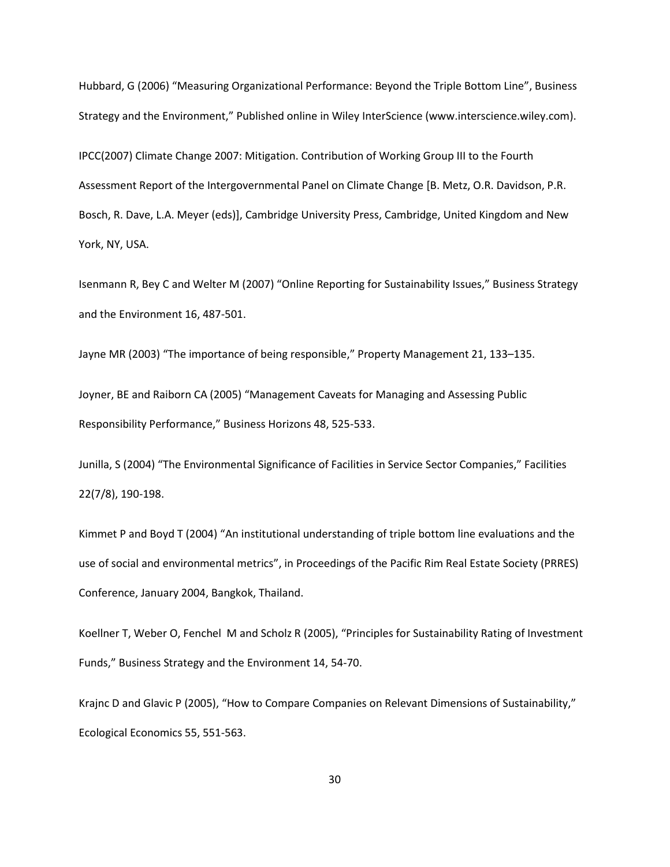Hubbard, G (2006) "Measuring Organizational Performance: Beyond the Triple Bottom Line", Business Strategy and the Environment," Published online in Wiley InterScience (www.interscience.wiley.com).

IPCC(2007) Climate Change 2007: Mitigation. Contribution of Working Group III to the Fourth Assessment Report of the Intergovernmental Panel on Climate Change [B. Metz, O.R. Davidson, P.R. Bosch, R. Dave, L.A. Meyer (eds)], Cambridge University Press, Cambridge, United Kingdom and New York, NY, USA.

Isenmann R, Bey C and Welter M (2007) "Online Reporting for Sustainability Issues," Business Strategy and the Environment 16, 487-501.

Jayne MR (2003) "The importance of being responsible," Property Management 21, 133–135.

Joyner, BE and Raiborn CA (2005) "Management Caveats for Managing and Assessing Public Responsibility Performance," Business Horizons 48, 525-533.

Junilla, S (2004) "The Environmental Significance of Facilities in Service Sector Companies," Facilities 22(7/8), 190-198.

Kimmet P and Boyd T (2004) "An institutional understanding of triple bottom line evaluations and the use of social and environmental metrics", in Proceedings of the Pacific Rim Real Estate Society (PRRES) Conference, January 2004, Bangkok, Thailand.

Koellner T, Weber O, Fenchel M and Scholz R (2005), "Principles for Sustainability Rating of Investment Funds," Business Strategy and the Environment 14, 54-70.

Krajnc D and Glavic P (2005), "How to Compare Companies on Relevant Dimensions of Sustainability," Ecological Economics 55, 551-563.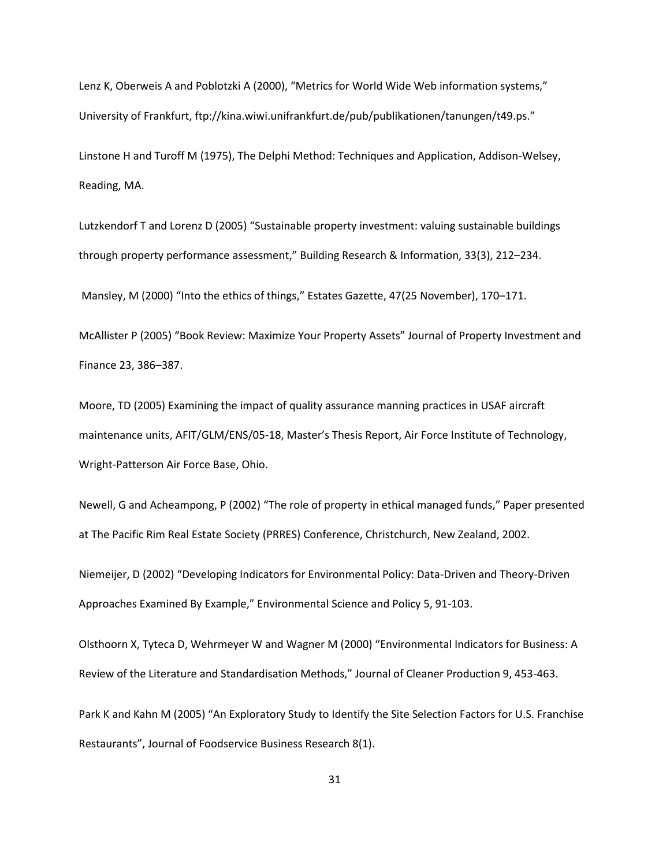Lenz K, Oberweis A and Poblotzki A (2000), "Metrics for World Wide Web information systems," University of Frankfurt,<ftp://kina.wiwi.unifrankfurt.de/pub/publikationen/tanungen/t49.ps>."

Linstone H and Turoff M (1975), The Delphi Method: Techniques and Application, Addison-Welsey, Reading, MA.

Lutzkendorf T and Lorenz D (2005) "Sustainable property investment: valuing sustainable buildings through property performance assessment," Building Research & Information, 33(3), 212–234.

Mansley, M (2000) "Into the ethics of things," Estates Gazette, 47(25 November), 170–171.

McAllister P (2005) "Book Review: Maximize Your Property Assets" Journal of Property Investment and Finance 23, 386–387.

Moore, TD (2005) Examining the impact of quality assurance manning practices in USAF aircraft maintenance units, AFIT/GLM/ENS/05-18, Master's Thesis Report, Air Force Institute of Technology, Wright-Patterson Air Force Base, Ohio.

Newell, G and Acheampong, P (2002) "The role of property in ethical managed funds," Paper presented at The Pacific Rim Real Estate Society (PRRES) Conference, Christchurch, New Zealand, 2002.

Niemeijer, D (2002) "Developing Indicators for Environmental Policy: Data-Driven and Theory-Driven Approaches Examined By Example," Environmental Science and Policy 5, 91-103.

Olsthoorn X, Tyteca D, Wehrmeyer W and Wagner M (2000) "Environmental Indicators for Business: A Review of the Literature and Standardisation Methods," Journal of Cleaner Production 9, 453-463.

Park K and Kahn M (2005) "An Exploratory Study to Identify the Site Selection Factors for U.S. Franchise Restaurants", Journal of Foodservice Business Research 8(1).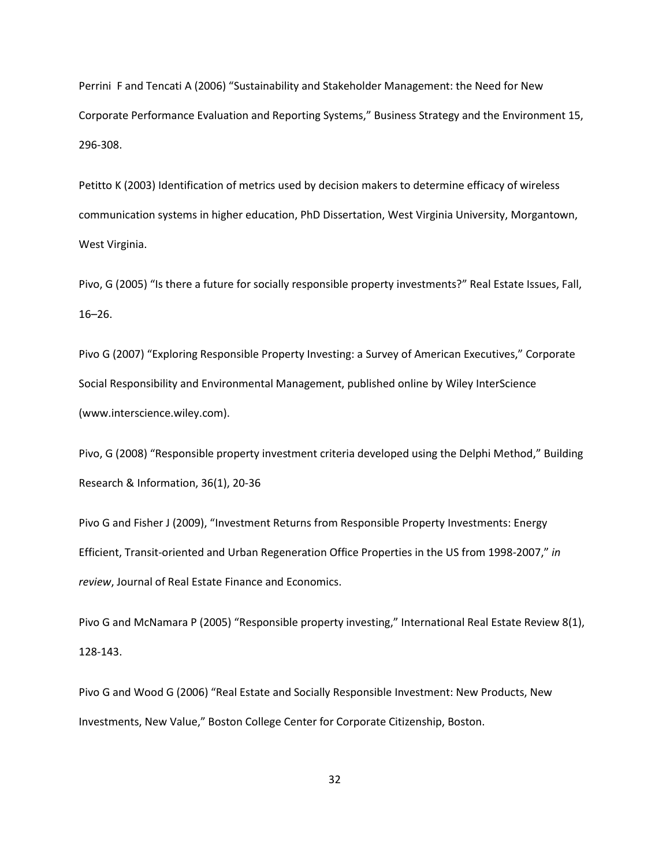Perrini F and Tencati A (2006) "Sustainability and Stakeholder Management: the Need for New Corporate Performance Evaluation and Reporting Systems," Business Strategy and the Environment 15, 296-308.

Petitto K (2003) Identification of metrics used by decision makers to determine efficacy of wireless communication systems in higher education, PhD Dissertation, West Virginia University, Morgantown, West Virginia.

Pivo, G (2005) "Is there a future for socially responsible property investments?" Real Estate Issues, Fall, 16–26.

Pivo G (2007) "Exploring Responsible Property Investing: a Survey of American Executives," Corporate Social Responsibility and Environmental Management, published online by Wiley InterScience (www.interscience.wiley.com).

Pivo, G (2008) "Responsible property investment criteria developed using the Delphi Method," Building Research & Information, 36(1), 20-36

Pivo G and Fisher J (2009), "Investment Returns from Responsible Property Investments: Energy Efficient, Transit-oriented and Urban Regeneration Office Properties in the US from 1998-2007," *in review*, Journal of Real Estate Finance and Economics.

Pivo G and McNamara P (2005) "Responsible property investing," International Real Estate Review 8(1), 128-143.

Pivo G and Wood G (2006) "Real Estate and Socially Responsible Investment: New Products, New Investments, New Value," Boston College Center for Corporate Citizenship, Boston.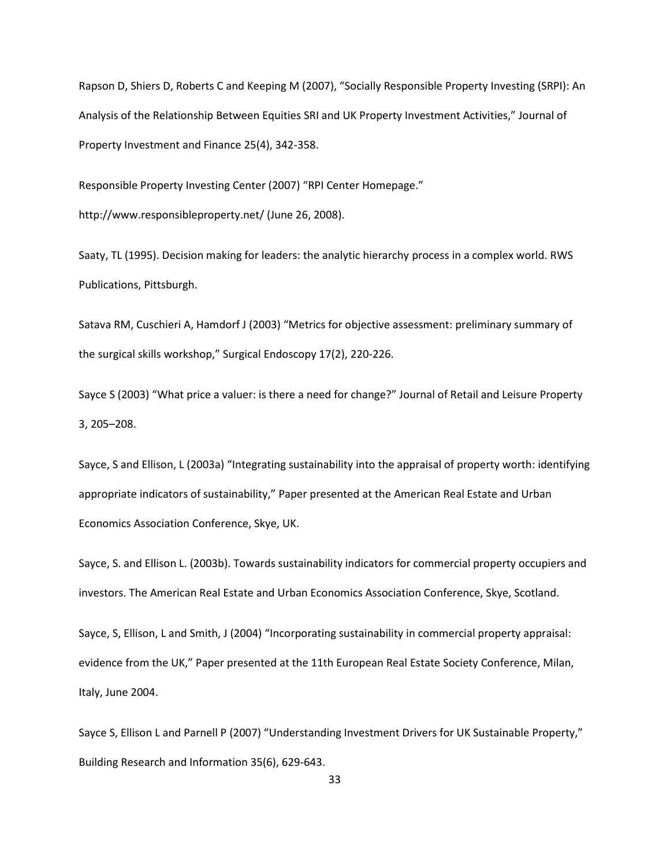Rapson D, Shiers D, Roberts C and Keeping M (2007), "Socially Responsible Property Investing (SRPI): An Analysis of the Relationship Between Equities SRI and UK Property Investment Activities," Journal of Property Investment and Finance 25(4), 342-358.

Responsible Property Investing Center (2007) "RPI Center Homepage."

http://www.responsibleproperty.net/ (June 26, 2008).

Saaty, TL (1995). Decision making for leaders: the analytic hierarchy process in a complex world. RWS Publications, Pittsburgh.

Satava RM, Cuschieri A, Hamdorf J (2003) "Metrics for objective assessment: preliminary summary of the surgical skills workshop," Surgical Endoscopy 17(2), 220-226.

Sayce S (2003) "What price a valuer: is there a need for change?" Journal of Retail and Leisure Property 3, 205–208.

Sayce, S and Ellison, L (2003a) "Integrating sustainability into the appraisal of property worth: identifying appropriate indicators of sustainability," Paper presented at the American Real Estate and Urban Economics Association Conference, Skye, UK.

Sayce, S. and Ellison L. (2003b). Towards sustainability indicators for commercial property occupiers and investors. The American Real Estate and Urban Economics Association Conference, Skye, Scotland.

Sayce, S, Ellison, L and Smith, J (2004) "Incorporating sustainability in commercial property appraisal: evidence from the UK," Paper presented at the 11th European Real Estate Society Conference, Milan, Italy, June 2004.

Sayce S, Ellison L and Parnell P (2007) "Understanding Investment Drivers for UK Sustainable Property," Building Research and Information 35(6), 629-643.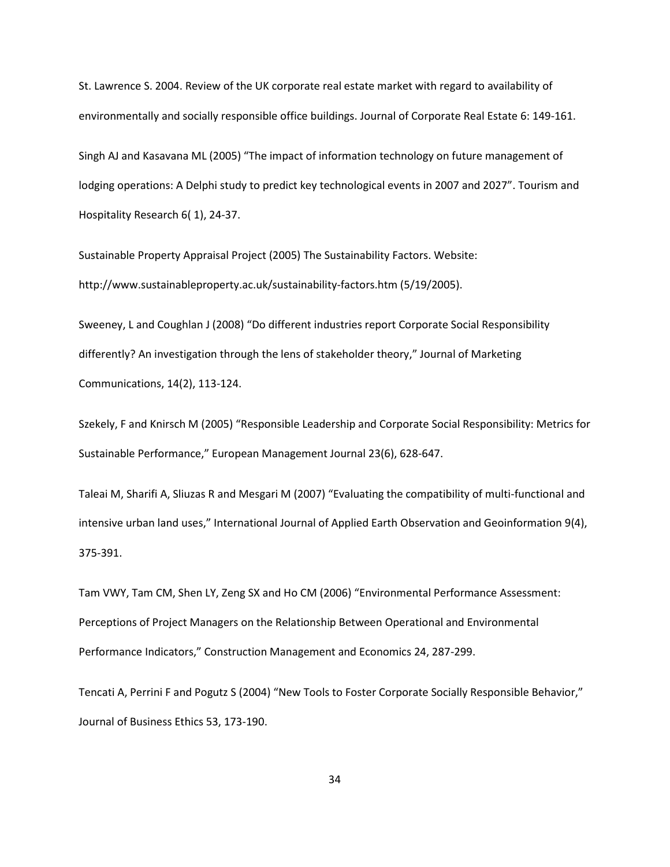St. Lawrence S. 2004. Review of the UK corporate real estate market with regard to availability of environmentally and socially responsible office buildings. Journal of Corporate Real Estate 6: 149-161.

Singh AJ and Kasavana ML (2005) "The impact of information technology on future management of lodging operations: A Delphi study to predict key technological events in 2007 and 2027". [Tourism and](http://www.ingentaconnect.com/content/pal/thr;jsessionid=bbo25h5t3olj9.victoria)  [Hospitality Research](http://www.ingentaconnect.com/content/pal/thr;jsessionid=bbo25h5t3olj9.victoria) 6( 1), 24-37.

Sustainable Property Appraisal Project (2005) The Sustainability Factors. Website: http://www.sustainableproperty.ac.uk/sustainability-factors.htm (5/19/2005).

Sweeney, L and Coughlan J (2008) "Do different industries report Corporate Social Responsibility differently? An investigation through the lens of stakeholder theory," Journal of Marketing Communications, 14(2), 113-124.

Szekely, F and Knirsch M (2005) "Responsible Leadership and Corporate Social Responsibility: Metrics for Sustainable Performance," European Management Journal 23(6), 628-647.

Taleai M, Sharifi A, Sliuzas R and Mesgari M (2007) "Evaluating the compatibility of multi-functional and intensive urban land uses," International Journal of Applied Earth Observation and Geoinformation 9(4), 375-391.

Tam VWY, Tam CM, Shen LY, Zeng SX and Ho CM (2006) "Environmental Performance Assessment: Perceptions of Project Managers on the Relationship Between Operational and Environmental Performance Indicators," Construction Management and Economics 24, 287-299.

Tencati A, Perrini F and Pogutz S (2004) "New Tools to Foster Corporate Socially Responsible Behavior," Journal of Business Ethics 53, 173-190.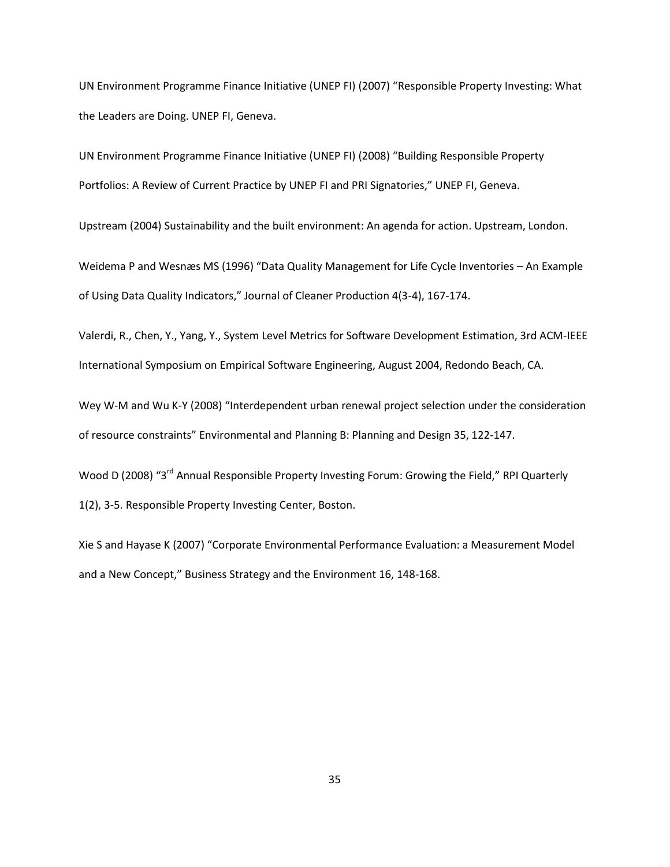UN Environment Programme Finance Initiative (UNEP FI) (2007) "Responsible Property Investing: What the Leaders are Doing. UNEP FI, Geneva.

UN Environment Programme Finance Initiative (UNEP FI) (2008) "Building Responsible Property Portfolios: A Review of Current Practice by UNEP FI and PRI Signatories," UNEP FI, Geneva.

Upstream (2004) Sustainability and the built environment: An agenda for action. Upstream, London.

Weidema P and Wesnæs MS (1996) "Data Quality Management for Life Cycle Inventories – An Example of Using Data Quality Indicators," Journal of Cleaner Production 4(3-4), 167-174.

Valerdi, R., Chen, Y., Yang, Y., System Level Metrics for Software Development Estimation, 3rd ACM-IEEE International Symposium on Empirical Software Engineering, August 2004, Redondo Beach, CA.

Wey W-M and Wu K-Y (2008) "Interdependent urban renewal project selection under the consideration of resource constraints" Environmental and Planning B: Planning and Design 35, 122-147.

Wood D (2008) "3<sup>rd</sup> Annual Responsible Property Investing Forum: Growing the Field," RPI Quarterly 1(2), 3-5. Responsible Property Investing Center, Boston.

Xie S and Hayase K (2007) "Corporate Environmental Performance Evaluation: a Measurement Model and a New Concept," Business Strategy and the Environment 16, 148-168.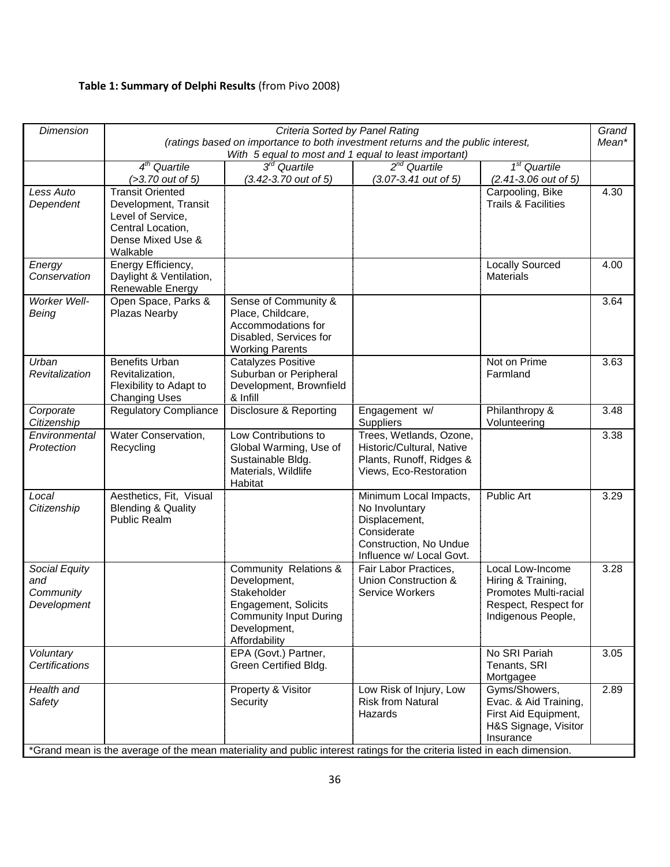# **Table 1: Summary of Delphi Results** (from Pivo 2008)

| <b>Dimension</b>                                 | Criteria Sorted by Panel Rating                                                                                            |                                                                                                                                                |                                                                                                                                |                                                                                                               |       |  |  |  |  |  |  |  |  |
|--------------------------------------------------|----------------------------------------------------------------------------------------------------------------------------|------------------------------------------------------------------------------------------------------------------------------------------------|--------------------------------------------------------------------------------------------------------------------------------|---------------------------------------------------------------------------------------------------------------|-------|--|--|--|--|--|--|--|--|
|                                                  |                                                                                                                            | (ratings based on importance to both investment returns and the public interest,<br>With 5 equal to most and 1 equal to least important)       |                                                                                                                                |                                                                                                               | Mean* |  |  |  |  |  |  |  |  |
|                                                  | $4th$ Quartile<br>$($ >3.70 out of 5)                                                                                      | $3rd$ Quartile<br>(3.42-3.70 out of 5)                                                                                                         | $2^{nd}$ Quartile<br>(3.07-3.41 out of 5)                                                                                      | $\overline{1^{st}}$ Quartile<br>$(2.41 - 3.06$ out of 5)                                                      |       |  |  |  |  |  |  |  |  |
| Less Auto<br>Dependent                           | <b>Transit Oriented</b><br>Development, Transit<br>Level of Service,<br>Central Location,<br>Dense Mixed Use &<br>Walkable |                                                                                                                                                |                                                                                                                                | Carpooling, Bike<br><b>Trails &amp; Facilities</b>                                                            | 4.30  |  |  |  |  |  |  |  |  |
| Energy<br>Conservation                           | Energy Efficiency,<br>Daylight & Ventilation,<br>Renewable Energy                                                          |                                                                                                                                                |                                                                                                                                | <b>Locally Sourced</b><br><b>Materials</b>                                                                    | 4.00  |  |  |  |  |  |  |  |  |
| Worker Well-<br>Being                            | Open Space, Parks &<br>Plazas Nearby                                                                                       | Sense of Community &<br>Place, Childcare,<br>Accommodations for<br>Disabled, Services for<br><b>Working Parents</b>                            |                                                                                                                                |                                                                                                               | 3.64  |  |  |  |  |  |  |  |  |
| Urban<br>Revitalization                          | <b>Benefits Urban</b><br>Revitalization,<br>Flexibility to Adapt to<br><b>Changing Uses</b>                                | Catalyzes Positive<br>Suburban or Peripheral<br>Development, Brownfield<br>& Infill                                                            |                                                                                                                                | Not on Prime<br>Farmland                                                                                      | 3.63  |  |  |  |  |  |  |  |  |
| Corporate<br>Citizenship                         | <b>Regulatory Compliance</b>                                                                                               | Disclosure & Reporting                                                                                                                         | Engagement w/<br>Suppliers                                                                                                     | Philanthropy &<br>Volunteering                                                                                | 3.48  |  |  |  |  |  |  |  |  |
| Environmental<br>Protection                      | Water Conservation,<br>Recycling                                                                                           | Low Contributions to<br>Global Warming, Use of<br>Sustainable Bldg.<br>Materials, Wildlife<br>Habitat                                          | Trees, Wetlands, Ozone,<br>Historic/Cultural, Native<br>Plants, Runoff, Ridges &<br>Views, Eco-Restoration                     |                                                                                                               | 3.38  |  |  |  |  |  |  |  |  |
| Local<br>Citizenship                             | Aesthetics, Fit, Visual<br><b>Blending &amp; Quality</b><br>Public Realm                                                   |                                                                                                                                                | Minimum Local Impacts,<br>No Involuntary<br>Displacement,<br>Considerate<br>Construction, No Undue<br>Influence w/ Local Govt. | Public Art                                                                                                    | 3.29  |  |  |  |  |  |  |  |  |
| Social Equity<br>and<br>Community<br>Development |                                                                                                                            | Community Relations &<br>Development,<br>Stakeholder<br>Engagement, Solicits<br><b>Community Input During</b><br>Development,<br>Affordability | Fair Labor Practices.<br>Union Construction &<br>Service Workers                                                               | Local Low-Income<br>Hiring & Training,<br>Promotes Multi-racial<br>Respect, Respect for<br>Indigenous People, | 3.28  |  |  |  |  |  |  |  |  |
| Voluntary<br>Certifications                      |                                                                                                                            | EPA (Govt.) Partner,<br>Green Certified Bldg.                                                                                                  |                                                                                                                                | No SRI Pariah<br>Tenants, SRI<br>Mortgagee                                                                    | 3.05  |  |  |  |  |  |  |  |  |
| Health and<br>Safety                             |                                                                                                                            | Property & Visitor<br>Security                                                                                                                 | Low Risk of Injury, Low<br><b>Risk from Natural</b><br>Hazards                                                                 | Gyms/Showers,<br>Evac. & Aid Training,<br>First Aid Equipment,<br>H&S Signage, Visitor<br>Insurance           | 2.89  |  |  |  |  |  |  |  |  |
|                                                  |                                                                                                                            | *Grand mean is the average of the mean materiality and public interest ratings for the criteria listed in each dimension.                      |                                                                                                                                |                                                                                                               |       |  |  |  |  |  |  |  |  |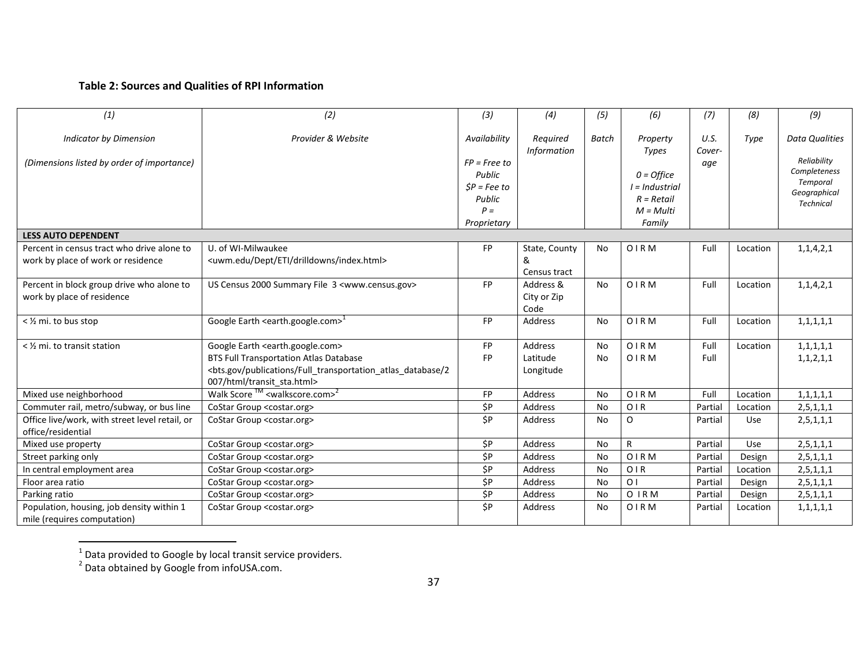### **Table 2: Sources and Qualities of RPI Information**

| (1)                                                                              | (2)                                                                                                                                                                                                                              | (3)                                                                                         | (4)                                | (5)          | (6)                                                                                                   | (7)                   | (8)      | (9)                                                                                                  |
|----------------------------------------------------------------------------------|----------------------------------------------------------------------------------------------------------------------------------------------------------------------------------------------------------------------------------|---------------------------------------------------------------------------------------------|------------------------------------|--------------|-------------------------------------------------------------------------------------------------------|-----------------------|----------|------------------------------------------------------------------------------------------------------|
| <b>Indicator by Dimension</b><br>(Dimensions listed by order of importance)      | Provider & Website                                                                                                                                                                                                               | Availability<br>$FP = Free to$<br>Public<br>$SP = Fee$ to<br>Public<br>$P =$<br>Proprietary | Required<br><b>Information</b>     | <b>Batch</b> | Property<br><b>Types</b><br>$0 =$ Office<br>$I = Industrial$<br>$R = Retail$<br>$M = Multi$<br>Family | U.S.<br>Cover-<br>age | Type     | <b>Data Qualities</b><br>Reliability<br>Completeness<br>Temporal<br>Geographical<br><b>Technical</b> |
| <b>LESS AUTO DEPENDENT</b>                                                       |                                                                                                                                                                                                                                  |                                                                                             |                                    |              |                                                                                                       |                       |          |                                                                                                      |
| Percent in census tract who drive alone to<br>work by place of work or residence | U. of WI-Milwaukee<br><uwm.edu dept="" drilldowns="" eti="" index.html=""></uwm.edu>                                                                                                                                             | <b>FP</b>                                                                                   | State, County<br>&<br>Census tract | <b>No</b>    | OIRM                                                                                                  | Full                  | Location | 1, 1, 4, 2, 1                                                                                        |
| Percent in block group drive who alone to<br>work by place of residence          | US Census 2000 Summary File 3 <www.census.gov></www.census.gov>                                                                                                                                                                  | <b>FP</b>                                                                                   | Address &<br>City or Zip<br>Code   | <b>No</b>    | <b>OIRM</b>                                                                                           | Full                  | Location | 1, 1, 4, 2, 1                                                                                        |
| < 1/2 mi. to bus stop                                                            | Google Earth <earth.google.com><math>1</math></earth.google.com>                                                                                                                                                                 | <b>FP</b>                                                                                   | Address                            | No           | <b>OIRM</b>                                                                                           | Full                  | Location | 1, 1, 1, 1, 1                                                                                        |
| < 1/2 mi. to transit station                                                     | Google Earth <earth.google.com><br/><b>BTS Full Transportation Atlas Database</b><br/><bts.gov 2<br="" atlas="" database="" full="" publications="" transportation="">007/html/transit sta.html&gt;</bts.gov></earth.google.com> | <b>FP</b><br><b>FP</b>                                                                      | Address<br>Latitude<br>Longitude   | No<br>No     | <b>OIRM</b><br><b>OIRM</b>                                                                            | Full<br>Full          | Location | 1, 1, 1, 1, 1<br>1, 1, 2, 1, 1                                                                       |
| Mixed use neighborhood                                                           | Walk Score $TM$ <walkscore.com><sup>2</sup></walkscore.com>                                                                                                                                                                      | FP                                                                                          | Address                            | No           | <b>OIRM</b>                                                                                           | Full                  | Location | 1, 1, 1, 1, 1                                                                                        |
| Commuter rail, metro/subway, or bus line                                         | CoStar Group <costar.org></costar.org>                                                                                                                                                                                           | \$P                                                                                         | Address                            | No           | OIR                                                                                                   | Partial               | Location | 2, 5, 1, 1, 1                                                                                        |
| Office live/work, with street level retail, or<br>office/residential             | CoStar Group <costar.org></costar.org>                                                                                                                                                                                           | \$P                                                                                         | Address                            | No           | O                                                                                                     | Partial               | Use      | 2, 5, 1, 1, 1                                                                                        |
| Mixed use property                                                               | CoStar Group <costar.org></costar.org>                                                                                                                                                                                           | \$P                                                                                         | Address                            | No           | R                                                                                                     | Partial               | Use      | 2, 5, 1, 1, 1                                                                                        |
| Street parking only                                                              | CoStar Group <costar.org></costar.org>                                                                                                                                                                                           | $\overline{SP}$                                                                             | Address                            | No           | <b>OIRM</b>                                                                                           | Partial               | Design   | 2, 5, 1, 1, 1                                                                                        |
| In central employment area                                                       | CoStar Group <costar.org></costar.org>                                                                                                                                                                                           | \$P                                                                                         | Address                            | No           | OIR                                                                                                   | Partial               | Location | 2, 5, 1, 1, 1                                                                                        |
| Floor area ratio                                                                 | CoStar Group <costar.org></costar.org>                                                                                                                                                                                           | \$P                                                                                         | Address                            | No           | O <sub>1</sub>                                                                                        | Partial               | Design   | 2, 5, 1, 1, 1                                                                                        |
| Parking ratio                                                                    | CoStar Group <costar.org></costar.org>                                                                                                                                                                                           | $\overline{SP}$                                                                             | Address                            | <b>No</b>    | <b>OIRM</b>                                                                                           | Partial               | Design   | 2, 5, 1, 1, 1                                                                                        |
| Population, housing, job density within 1<br>mile (requires computation)         | CoStar Group <costar.org></costar.org>                                                                                                                                                                                           | \$P                                                                                         | Address                            | No           | <b>OIRM</b>                                                                                           | Partial               | Location | 1, 1, 1, 1, 1                                                                                        |

 1 Data provided to Google by local transit service providers. 2 Data obtained by Google from infoUSA.com.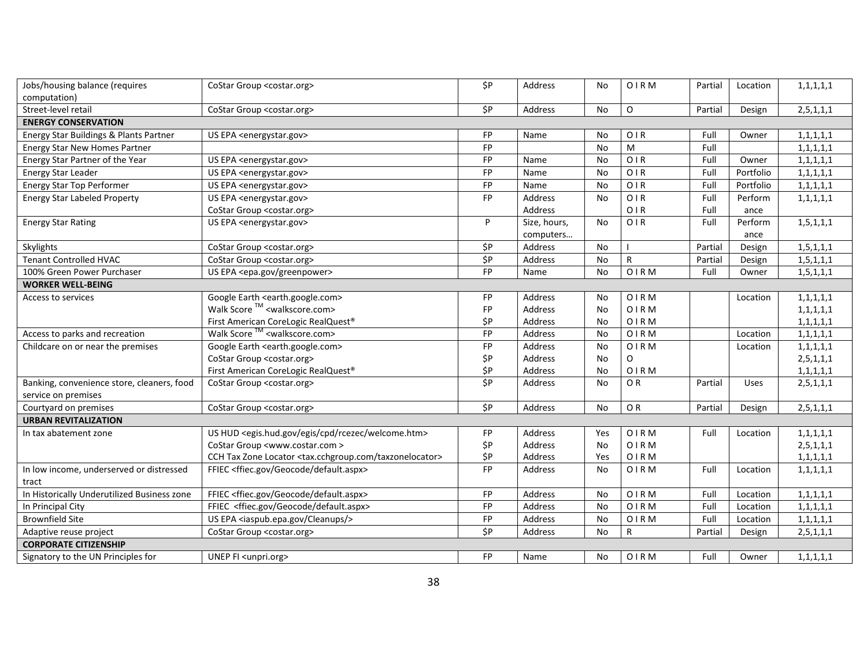| Jobs/housing balance (requires<br>computation)                    | CoStar Group <costar.org></costar.org>                                       | \$P             | Address      | No        | <b>OIRM</b>    | Partial | Location    | 1, 1, 1, 1, 1 |  |  |  |
|-------------------------------------------------------------------|------------------------------------------------------------------------------|-----------------|--------------|-----------|----------------|---------|-------------|---------------|--|--|--|
| Street-level retail                                               | CoStar Group <costar.org></costar.org>                                       | \$P             | Address      | No        | $\circ$        | Partial | Design      | 2, 5, 1, 1, 1 |  |  |  |
| <b>ENERGY CONSERVATION</b>                                        |                                                                              |                 |              |           |                |         |             |               |  |  |  |
| Energy Star Buildings & Plants Partner                            | US EPA <energystar.gov></energystar.gov>                                     | <b>FP</b>       | Name         | No        | OIR            | Full    | Owner       | 1, 1, 1, 1, 1 |  |  |  |
| <b>Energy Star New Homes Partner</b>                              |                                                                              | FP              |              | No        | ${\sf M}$      | Full    |             | 1, 1, 1, 1, 1 |  |  |  |
| Energy Star Partner of the Year                                   | US EPA <energystar.gov></energystar.gov>                                     | FP              | Name         | No        | OIR            | Full    | Owner       | 1, 1, 1, 1, 1 |  |  |  |
| <b>Energy Star Leader</b>                                         | US EPA <energystar.gov></energystar.gov>                                     | <b>FP</b>       | Name         | <b>No</b> | OIR            | Full    | Portfolio   | 1, 1, 1, 1, 1 |  |  |  |
| <b>Energy Star Top Performer</b>                                  | US EPA <energystar.gov></energystar.gov>                                     | FP              | Name         | No        | OIR            | Full    | Portfolio   | 1, 1, 1, 1, 1 |  |  |  |
| <b>Energy Star Labeled Property</b>                               | US EPA <energystar.gov></energystar.gov>                                     | FP              | Address      | No        | OIR            | Full    | Perform     | 1, 1, 1, 1, 1 |  |  |  |
|                                                                   | CoStar Group <costar.org></costar.org>                                       |                 | Address      |           | OIR            | Full    | ance        |               |  |  |  |
| <b>Energy Star Rating</b>                                         | US EPA <energystar.gov></energystar.gov>                                     | P               | Size, hours, | No        | OIR            | Full    | Perform     | 1, 5, 1, 1, 1 |  |  |  |
|                                                                   |                                                                              |                 | computers    |           |                |         | ance        |               |  |  |  |
| Skylights                                                         | CoStar Group <costar.org></costar.org>                                       | \$P             | Address      | No        |                | Partial | Design      | 1, 5, 1, 1, 1 |  |  |  |
| <b>Tenant Controlled HVAC</b>                                     | CoStar Group <costar.org></costar.org>                                       | $\overline{SP}$ | Address      | No        | $\mathsf{R}$   | Partial | Design      | 1, 5, 1, 1, 1 |  |  |  |
| 100% Green Power Purchaser                                        | US EPA <epa.gov greenpower=""></epa.gov>                                     | FP              | Name         | No        | <b>OIRM</b>    | Full    | Owner       | 1, 5, 1, 1, 1 |  |  |  |
| <b>WORKER WELL-BEING</b>                                          |                                                                              |                 |              |           |                |         |             |               |  |  |  |
| Access to services                                                | Google Earth <earth.google.com></earth.google.com>                           | <b>FP</b>       | Address      | No        | <b>OIRM</b>    |         | Location    | 1, 1, 1, 1, 1 |  |  |  |
|                                                                   | Walk Score ™ <walkscore.com></walkscore.com>                                 | <b>FP</b>       | Address      | <b>No</b> | <b>OIRM</b>    |         |             | 1, 1, 1, 1, 1 |  |  |  |
|                                                                   | First American CoreLogic RealQuest®                                          | \$P             | Address      | No        | <b>OIRM</b>    |         |             | 1, 1, 1, 1, 1 |  |  |  |
| Access to parks and recreation                                    | Walk Score ™ <walkscore.com></walkscore.com>                                 | FP              | Address      | No        | <b>OIRM</b>    |         | Location    | 1, 1, 1, 1, 1 |  |  |  |
| Childcare on or near the premises                                 | Google Earth <earth.google.com></earth.google.com>                           | <b>FP</b>       | Address      | No        | <b>OIRM</b>    |         | Location    | 1, 1, 1, 1, 1 |  |  |  |
|                                                                   | CoStar Group <costar.org></costar.org>                                       | \$P             | Address      | No        | $\circ$        |         |             | 2, 5, 1, 1, 1 |  |  |  |
|                                                                   | First American CoreLogic RealQuest®                                          | \$P             | Address      | No        | <b>OIRM</b>    |         |             | 1, 1, 1, 1, 1 |  |  |  |
| Banking, convenience store, cleaners, food<br>service on premises | CoStar Group <costar.org></costar.org>                                       | \$P             | Address      | No        | O <sub>R</sub> | Partial | <b>Uses</b> | 2, 5, 1, 1, 1 |  |  |  |
| Courtyard on premises                                             | CoStar Group <costar.org></costar.org>                                       | \$P             | Address      | No        | OR             | Partial | Design      | 2, 5, 1, 1, 1 |  |  |  |
| <b>URBAN REVITALIZATION</b>                                       |                                                                              |                 |              |           |                |         |             |               |  |  |  |
| In tax abatement zone                                             | US HUD <egis.hud.gov cpd="" egis="" rcezec="" welcome.htm=""></egis.hud.gov> | <b>FP</b>       | Address      | Yes       | <b>OIRM</b>    | Full    | Location    | 1, 1, 1, 1, 1 |  |  |  |
|                                                                   | CoStar Group <www.costar.com></www.costar.com>                               | \$P             | Address      | No        | OIRM           |         |             | 2, 5, 1, 1, 1 |  |  |  |
|                                                                   | CCH Tax Zone Locator <tax.cchgroup.com taxzonelocator=""></tax.cchgroup.com> | \$P             | Address      | Yes       | <b>OIRM</b>    |         |             | 1, 1, 1, 1, 1 |  |  |  |
| In low income, underserved or distressed                          | FFIEC <ffiec.gov default.aspx="" geocode=""></ffiec.gov>                     | FP              | Address      | No        | <b>OIRM</b>    | Full    | Location    | 1, 1, 1, 1, 1 |  |  |  |
| tract                                                             |                                                                              |                 |              |           |                |         |             |               |  |  |  |
| In Historically Underutilized Business zone                       | FFIEC <ffiec.gov default.aspx="" geocode=""></ffiec.gov>                     | FP              | Address      | No        | <b>OIRM</b>    | Full    | Location    | 1, 1, 1, 1, 1 |  |  |  |
| In Principal City                                                 | FFIEC <ffiec.gov default.aspx="" geocode=""></ffiec.gov>                     | FP              | Address      | No        | <b>OIRM</b>    | Full    | Location    | 1, 1, 1, 1, 1 |  |  |  |
| <b>Brownfield Site</b>                                            | US EPA <iaspub.epa.gov cleanups=""></iaspub.epa.gov>                         | <b>FP</b>       | Address      | No        | <b>OIRM</b>    | Full    | Location    | 1, 1, 1, 1, 1 |  |  |  |
| Adaptive reuse project                                            | CoStar Group <costar.org></costar.org>                                       | $\overline{SP}$ | Address      | No        | $\mathsf{R}$   | Partial | Design      | 2, 5, 1, 1, 1 |  |  |  |
| <b>CORPORATE CITIZENSHIP</b>                                      |                                                                              |                 |              |           |                |         |             |               |  |  |  |
| Signatory to the UN Principles for                                | UNEP FI <unpri.org></unpri.org>                                              | <b>FP</b>       | Name         | No        | <b>OIRM</b>    | Full    | Owner       | 1, 1, 1, 1, 1 |  |  |  |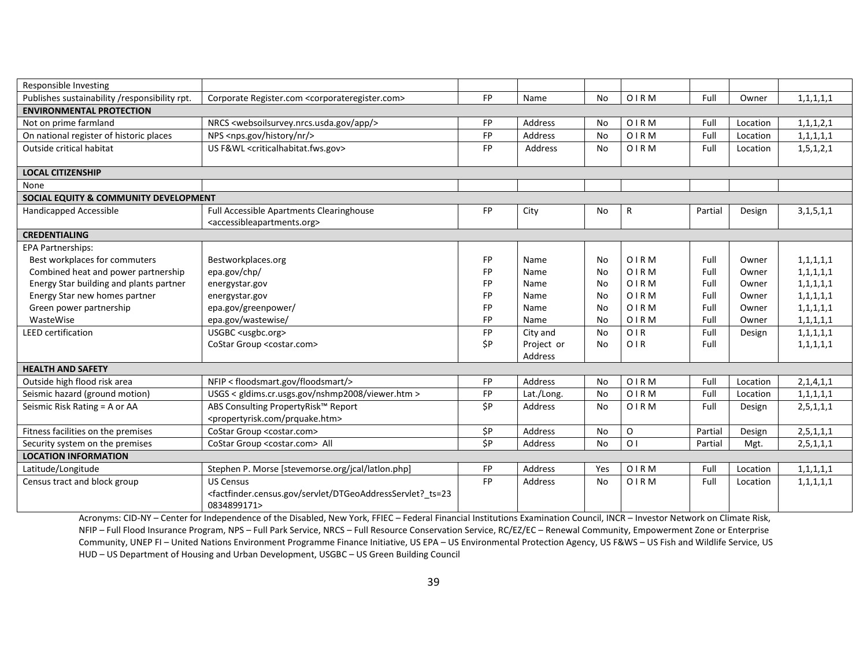| Responsible Investing                            |                                                                                                                                                                  |           |            |           |                |         |          |               |
|--------------------------------------------------|------------------------------------------------------------------------------------------------------------------------------------------------------------------|-----------|------------|-----------|----------------|---------|----------|---------------|
| Publishes sustainability /responsibility rpt.    | Corporate Register.com <corporateregister.com></corporateregister.com>                                                                                           | <b>FP</b> | Name       | <b>No</b> | <b>OIRM</b>    | Full    | Owner    | 1, 1, 1, 1, 1 |
| <b>ENVIRONMENTAL PROTECTION</b>                  |                                                                                                                                                                  |           |            |           |                |         |          |               |
| Not on prime farmland                            | NRCS <websoilsurvey.nrcs.usda.gov app=""></websoilsurvey.nrcs.usda.gov>                                                                                          | FP        | Address    | No        | <b>OIRM</b>    | Full    | Location | 1, 1, 1, 2, 1 |
| On national register of historic places          | NPS <nps.gov history="" nr=""></nps.gov>                                                                                                                         | <b>FP</b> | Address    | No        | OIRM           | Full    | Location | 1, 1, 1, 1, 1 |
| Outside critical habitat                         | US F&WL <criticalhabitat.fws.gov></criticalhabitat.fws.gov>                                                                                                      | <b>FP</b> | Address    | No        | <b>OIRM</b>    | Full    | Location | 1,5,1,2,1     |
|                                                  |                                                                                                                                                                  |           |            |           |                |         |          |               |
| <b>LOCAL CITIZENSHIP</b>                         |                                                                                                                                                                  |           |            |           |                |         |          |               |
| None                                             |                                                                                                                                                                  |           |            |           |                |         |          |               |
| <b>SOCIAL EQUITY &amp; COMMUNITY DEVELOPMENT</b> |                                                                                                                                                                  |           |            |           |                |         |          |               |
| Handicapped Accessible                           | Full Accessible Apartments Clearinghouse                                                                                                                         | <b>FP</b> | City       | No        | R              | Partial | Design   | 3, 1, 5, 1, 1 |
|                                                  | <accessibleapartments.org></accessibleapartments.org>                                                                                                            |           |            |           |                |         |          |               |
| <b>CREDENTIALING</b>                             |                                                                                                                                                                  |           |            |           |                |         |          |               |
| <b>EPA Partnerships:</b>                         |                                                                                                                                                                  |           |            |           |                |         |          |               |
| Best workplaces for commuters                    | Bestworkplaces.org                                                                                                                                               | <b>FP</b> | Name       | No        | <b>OIRM</b>    | Full    | Owner    | 1, 1, 1, 1, 1 |
| Combined heat and power partnership              | epa.gov/chp/                                                                                                                                                     | <b>FP</b> | Name       | No        | <b>OIRM</b>    | Full    | Owner    | 1, 1, 1, 1, 1 |
| Energy Star building and plants partner          | energystar.gov                                                                                                                                                   | FP        | Name       | No        | OIRM           | Full    | Owner    | 1, 1, 1, 1, 1 |
| Energy Star new homes partner                    | energystar.gov                                                                                                                                                   | FP        | Name       | No        | OIRM           | Full    | Owner    | 1, 1, 1, 1, 1 |
| Green power partnership                          | epa.gov/greenpower/                                                                                                                                              | FP        | Name       | No        | <b>OIRM</b>    | Full    | Owner    | 1, 1, 1, 1, 1 |
| WasteWise                                        | epa.gov/wastewise/                                                                                                                                               | FP        | Name       | <b>No</b> | <b>OIRM</b>    | Full    | Owner    | 1, 1, 1, 1, 1 |
| <b>LEED</b> certification                        | USGBC <usgbc.org></usgbc.org>                                                                                                                                    | <b>FP</b> | City and   | No        | OIR            | Full    | Design   | 1, 1, 1, 1, 1 |
|                                                  | CoStar Group <costar.com></costar.com>                                                                                                                           | \$P       | Project or | No        | OIR            | Full    |          | 1, 1, 1, 1, 1 |
|                                                  |                                                                                                                                                                  |           | Address    |           |                |         |          |               |
| <b>HEALTH AND SAFETY</b>                         |                                                                                                                                                                  |           |            |           |                |         |          |               |
| Outside high flood risk area                     | NFIP < floodsmart.gov/floodsmart/>                                                                                                                               | FP        | Address    | No        | <b>OIRM</b>    | Full    | Location | 2,1,4,1,1     |
| Seismic hazard (ground motion)                   | USGS < gldims.cr.usgs.gov/nshmp2008/viewer.htm >                                                                                                                 | FP        | Lat./Long. | No        | <b>OIRM</b>    | Full    | Location | 1, 1, 1, 1, 1 |
| Seismic Risk Rating = A or AA                    | ABS Consulting PropertyRisk™ Report                                                                                                                              | \$P       | Address    | <b>No</b> | <b>OIRM</b>    | Full    | Design   | 2, 5, 1, 1, 1 |
|                                                  | <propertyrisk.com prquake.htm=""></propertyrisk.com>                                                                                                             |           |            |           |                |         |          |               |
| Fitness facilities on the premises               | CoStar Group <costar.com></costar.com>                                                                                                                           | \$P       | Address    | <b>No</b> | O              | Partial | Design   | 2, 5, 1, 1, 1 |
| Security system on the premises                  | CoStar Group <costar.com> All</costar.com>                                                                                                                       | \$P       | Address    | <b>No</b> | O <sub>1</sub> | Partial | Mgt.     | 2, 5, 1, 1, 1 |
| <b>LOCATION INFORMATION</b>                      |                                                                                                                                                                  |           |            |           |                |         |          |               |
| Latitude/Longitude                               | Stephen P. Morse [stevemorse.org/jcal/latlon.php]                                                                                                                | <b>FP</b> | Address    | Yes       | <b>OIRM</b>    | Full    | Location | 1, 1, 1, 1, 1 |
| Census tract and block group                     | <b>US Census</b>                                                                                                                                                 | <b>FP</b> | Address    | No        | OIRM           | Full    | Location | 1, 1, 1, 1, 1 |
|                                                  | <factfinder.census.gov dtgeoaddressservlet?="" servlet="" ts="23&lt;/td"><td></td><td></td><td></td><td></td><td></td><td></td><td></td></factfinder.census.gov> |           |            |           |                |         |          |               |
|                                                  | 0834899171>                                                                                                                                                      |           |            |           |                |         |          |               |

Acronyms: CID-NY – Center for Independence of the Disabled, New York, FFIEC – Federal Financial Institutions Examination Council, INCR – Investor Network on Climate Risk, NFIP – Full Flood Insurance Program, NPS – Full Park Service, NRCS – Full Resource Conservation Service, RC/EZ/EC – Renewal Community, Empowerment Zone or Enterprise Community, UNEP FI – United Nations Environment Programme Finance Initiative, US EPA – US Environmental Protection Agency, US F&WS – US Fish and Wildlife Service, US HUD – US Department of Housing and Urban Development, USGBC – US Green Building Council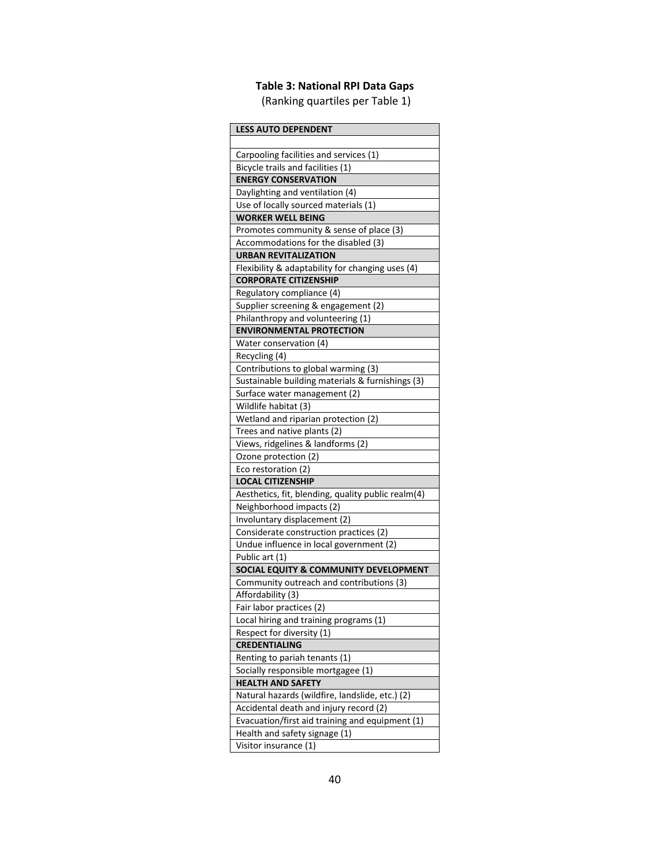# **Table 3: National RPI Data Gaps**

(Ranking quartiles per Table 1)

| <b>LESS AUTO DEPENDENT</b>                                          |
|---------------------------------------------------------------------|
|                                                                     |
| Carpooling facilities and services (1)                              |
| Bicycle trails and facilities (1)                                   |
| <b>ENERGY CONSERVATION</b>                                          |
| Daylighting and ventilation (4)                                     |
| Use of locally sourced materials (1)                                |
| <b>WORKER WELL BEING</b>                                            |
| Promotes community & sense of place (3)                             |
| Accommodations for the disabled (3)                                 |
| <b>URBAN REVITALIZATION</b>                                         |
| Flexibility & adaptability for changing uses (4)                    |
| <b>CORPORATE CITIZENSHIP</b>                                        |
| Regulatory compliance (4)                                           |
| Supplier screening & engagement (2)                                 |
| Philanthropy and volunteering (1)                                   |
| <b>ENVIRONMENTAL PROTECTION</b>                                     |
| Water conservation (4)                                              |
| Recycling (4)                                                       |
| Contributions to global warming (3)                                 |
| Sustainable building materials & furnishings (3)                    |
| Surface water management (2)                                        |
| Wildlife habitat (3)                                                |
| Wetland and riparian protection (2)                                 |
| Trees and native plants (2)                                         |
| Views, ridgelines & landforms (2)                                   |
| Ozone protection (2)                                                |
| Eco restoration (2)                                                 |
| <b>LOCAL CITIZENSHIP</b>                                            |
| Aesthetics, fit, blending, quality public realm(4)                  |
| Neighborhood impacts (2)                                            |
| Involuntary displacement (2)                                        |
| Considerate construction practices (2)                              |
| Undue influence in local government (2)                             |
| Public art (1)                                                      |
| SOCIAL EQUITY & COMMUNITY DEVELOPMENT                               |
| Community outreach and contributions (3)                            |
| Affordability (3)                                                   |
| Fair labor practices (2)                                            |
|                                                                     |
| Local hiring and training programs (1)<br>Respect for diversity (1) |
| <b>CREDENTIALING</b>                                                |
|                                                                     |
| Renting to pariah tenants (1)                                       |
| Socially responsible mortgagee (1)                                  |
| <b>HEALTH AND SAFETY</b>                                            |
| Natural hazards (wildfire, landslide, etc.) (2)                     |
| Accidental death and injury record (2)                              |
| Evacuation/first aid training and equipment (1)                     |
| Health and safety signage (1)                                       |
| Visitor insurance (1)                                               |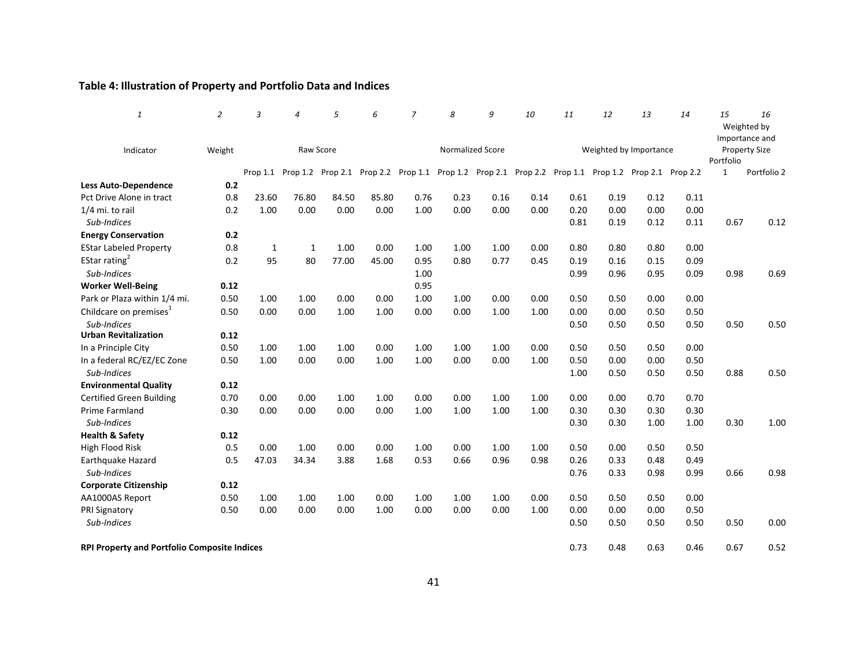## **Table 4: Illustration of Property and Portfolio Data and Indices**

| $\mathbf{1}$                                        | $\overline{2}$ | 3            | $\overline{a}$ | 5                          | 6     | $\overline{z}$    | 8    | 9                 | 10   | 11           | 12                         | 13                     | 14           | 15           | 16<br>Weighted by<br>Importance and |
|-----------------------------------------------------|----------------|--------------|----------------|----------------------------|-------|-------------------|------|-------------------|------|--------------|----------------------------|------------------------|--------------|--------------|-------------------------------------|
| Indicator                                           | Weight         |              |                | Raw Score                  |       |                   |      | Normalized Score  |      |              |                            | Weighted by Importance |              | Portfolio    | <b>Property Size</b>                |
|                                                     |                |              |                | Prop 1.1 Prop 1.2 Prop 2.1 |       | Prop 2.2 Prop 1.1 |      | Prop 1.2 Prop 2.1 |      |              | Prop 2.2 Prop 1.1 Prop 1.2 | Prop 2.1 Prop 2.2      |              | $\mathbf{1}$ | Portfolio 2                         |
| <b>Less Auto-Dependence</b>                         | 0.2            |              |                |                            |       |                   |      |                   |      |              |                            |                        |              |              |                                     |
| Pct Drive Alone in tract                            | 0.8            | 23.60        | 76.80          | 84.50                      | 85.80 | 0.76              | 0.23 | 0.16              | 0.14 | 0.61         | 0.19                       | 0.12                   | 0.11         |              |                                     |
| 1/4 mi. to rail<br>Sub-Indices                      | 0.2            | 1.00         | 0.00           | 0.00                       | 0.00  | 1.00              | 0.00 | 0.00              | 0.00 | 0.20<br>0.81 | 0.00<br>0.19               | 0.00<br>0.12           | 0.00<br>0.11 | 0.67         | 0.12                                |
| <b>Energy Conservation</b>                          | 0.2            |              |                |                            |       |                   |      |                   |      |              |                            |                        |              |              |                                     |
| <b>EStar Labeled Property</b>                       | 0.8            | $\mathbf{1}$ | 1              | 1.00                       | 0.00  | 1.00              | 1.00 | 1.00              | 0.00 | 0.80         | 0.80                       | 0.80                   | 0.00         |              |                                     |
| EStar rating <sup>2</sup>                           | 0.2            | 95           | 80             | 77.00                      | 45.00 | 0.95              | 0.80 | 0.77              | 0.45 | 0.19         | 0.16                       | 0.15                   | 0.09         |              |                                     |
| Sub-Indices                                         |                |              |                |                            |       | 1.00              |      |                   |      | 0.99         | 0.96                       | 0.95                   | 0.09         | 0.98         | 0.69                                |
| <b>Worker Well-Being</b>                            | 0.12           |              |                |                            |       | 0.95              |      |                   |      |              |                            |                        |              |              |                                     |
| Park or Plaza within 1/4 mi.                        | 0.50           | 1.00         | 1.00           | 0.00                       | 0.00  | 1.00              | 1.00 | 0.00              | 0.00 | 0.50         | 0.50                       | 0.00                   | 0.00         |              |                                     |
| Childcare on premises <sup>1</sup><br>Sub-Indices   | 0.50           | 0.00         | 0.00           | 1.00                       | 1.00  | 0.00              | 0.00 | 1.00              | 1.00 | 0.00<br>0.50 | 0.00<br>0.50               | 0.50<br>0.50           | 0.50<br>0.50 | 0.50         | 0.50                                |
| <b>Urban Revitalization</b>                         | 0.12           |              |                |                            |       |                   |      |                   |      |              |                            |                        |              |              |                                     |
| In a Principle City                                 | 0.50           | 1.00         | 1.00           | 1.00                       | 0.00  | 1.00              | 1.00 | 1.00              | 0.00 | 0.50         | 0.50                       | 0.50                   | 0.00         |              |                                     |
| In a federal RC/EZ/EC Zone<br>Sub-Indices           | 0.50           | 1.00         | 0.00           | 0.00                       | 1.00  | 1.00              | 0.00 | 0.00              | 1.00 | 0.50<br>1.00 | 0.00<br>0.50               | 0.00<br>0.50           | 0.50<br>0.50 | 0.88         | 0.50                                |
| <b>Environmental Quality</b>                        | 0.12           |              |                |                            |       |                   |      |                   |      |              |                            |                        |              |              |                                     |
| <b>Certified Green Building</b>                     | 0.70           | 0.00         | 0.00           | 1.00                       | 1.00  | 0.00              | 0.00 | 1.00              | 1.00 | 0.00         | 0.00                       | 0.70                   | 0.70         |              |                                     |
| <b>Prime Farmland</b><br>Sub-Indices                | 0.30           | 0.00         | 0.00           | 0.00                       | 0.00  | 1.00              | 1.00 | 1.00              | 1.00 | 0.30<br>0.30 | 0.30<br>0.30               | 0.30<br>1.00           | 0.30<br>1.00 | 0.30         | 1.00                                |
| <b>Health &amp; Safety</b>                          | 0.12           |              |                |                            |       |                   |      |                   |      |              |                            |                        |              |              |                                     |
| High Flood Risk                                     | 0.5            | 0.00         | 1.00           | 0.00                       | 0.00  | 1.00              | 0.00 | 1.00              | 1.00 | 0.50         | 0.00                       | 0.50                   | 0.50         |              |                                     |
| Earthquake Hazard<br>Sub-Indices                    | 0.5            | 47.03        | 34.34          | 3.88                       | 1.68  | 0.53              | 0.66 | 0.96              | 0.98 | 0.26<br>0.76 | 0.33<br>0.33               | 0.48<br>0.98           | 0.49<br>0.99 | 0.66         | 0.98                                |
| <b>Corporate Citizenship</b>                        | 0.12           |              |                |                            |       |                   |      |                   |      |              |                            |                        |              |              |                                     |
| AA1000AS Report                                     | 0.50           | 1.00         | 1.00           | 1.00                       | 0.00  | 1.00              | 1.00 | 1.00              | 0.00 | 0.50         | 0.50                       | 0.50                   | 0.00         |              |                                     |
| <b>PRI Signatory</b>                                | 0.50           | 0.00         | 0.00           | 0.00                       | 1.00  | 0.00              | 0.00 | 0.00              | 1.00 | 0.00         | 0.00                       | 0.00                   | 0.50         |              |                                     |
| Sub-Indices                                         |                |              |                |                            |       |                   |      |                   |      | 0.50         | 0.50                       | 0.50                   | 0.50         | 0.50         | 0.00                                |
| <b>RPI Property and Portfolio Composite Indices</b> |                |              |                |                            |       |                   |      |                   |      | 0.73         | 0.48                       | 0.63                   | 0.46         | 0.67         | 0.52                                |